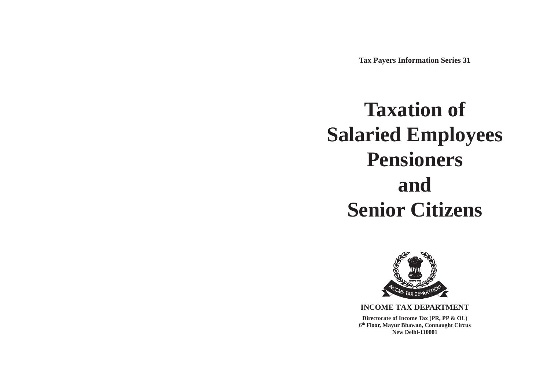**Tax Payers Information Series 31**

# **Taxation of Salaried Employees Pensioners and Senior Citizens**



**INCOME TAX DEPARTMENT Directorate of Income Tax (PR, PP & OL) 6th Floor, Mayur Bhawan, Connaught Circus New Delhi-110001**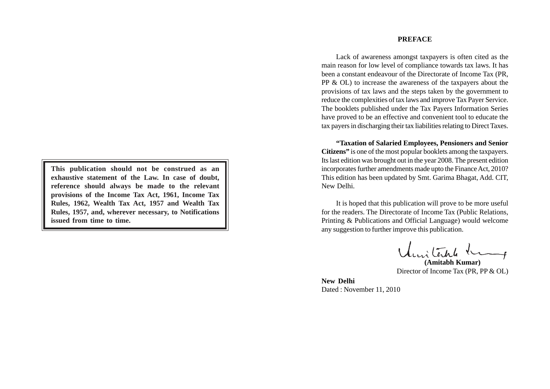**This publication should not be construed as an exhaustive statement of the Law. In case of doubt, reference should always be made to the relevant provisions of the Income Tax Act, 1961, Income Tax Rules, 1962, Wealth Tax Act, 1957 and Wealth Tax Rules, 1957, and, wherever necessary, to Notifications issued from time to time.**

#### **PREFACE**

Lack of awareness amongst taxpayers is often cited as the main reason for low level of compliance towards tax laws. It has been a constant endeavour of the Directorate of Income Tax (PR, PP & OL) to increase the awareness of the taxpayers about the provisions of tax laws and the steps taken by the government to reduce the complexities of tax laws and improve Tax Payer Service. The booklets published under the Tax Payers Information Series have proved to be an effective and convenient tool to educate the tax payers in discharging their tax liabilities relating to Direct Taxes.

**"Taxation of Salaried Employees, Pensioners and Senior Citizens"** is one of the most popular booklets among the taxpayers. Its last edition was brought out in the year 2008. The present edition incorporates further amendments made upto the Finance Act, 2010? This edition has been updated by Smt. Garima Bhagat, Add. CIT, New Delhi.

It is hoped that this publication will prove to be more useful for the readers. The Directorate of Income Tax (Public Relations, Printing & Publications and Official Language) would welcome any suggestion to further improve this publication.

**(Amitabh Kumar)** Director of Income Tax (PR, PP & OL)

**New Delhi** Dated : November 11, 2010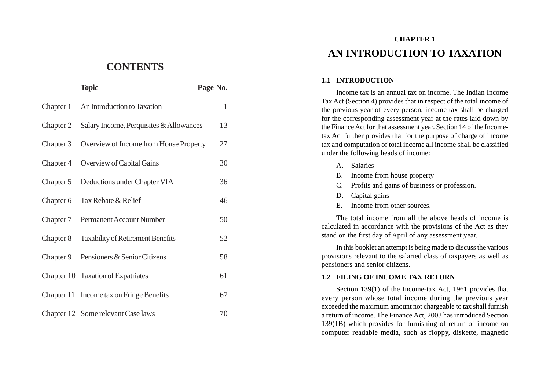# **CONTENTS**

|           | <b>Topic</b>                             | Page No.     |
|-----------|------------------------------------------|--------------|
| Chapter 1 | An Introduction to Taxation              | $\mathbf{1}$ |
| Chapter 2 | Salary Income, Perquisites & Allowances  | 13           |
| Chapter 3 | Overview of Income from House Property   | 27           |
| Chapter 4 | Overview of Capital Gains                | 30           |
| Chapter 5 | Deductions under Chapter VIA             | 36           |
| Chapter 6 | Tax Rebate & Relief                      | 46           |
| Chapter 7 | Permanent Account Number                 | 50           |
| Chapter 8 | <b>Taxability of Retirement Benefits</b> | 52           |
| Chapter 9 | Pensioners & Senior Citizens             | 58           |
|           | Chapter 10 Taxation of Expatriates       | 61           |
|           | Chapter 11 Income tax on Fringe Benefits | 67           |
|           | Chapter 12 Some relevant Case laws       | 70           |

# **CHAPTER 1 AN INTRODUCTION TO TAXATION**

#### **1.1 INTRODUCTION**

Income tax is an annual tax on income. The Indian Income Tax Act (Section 4) provides that in respect of the total income of the previous year of every person, income tax shall be charged for the corresponding assessment year at the rates laid down by the Finance Act for that assessment year. Section 14 of the Incometax Act further provides that for the purpose of charge of income tax and computation of total income all income shall be classified under the following heads of income:

- A. Salaries
- B. Income from house property
- C. Profits and gains of business or profession.
- D. Capital gains
- E. Income from other sources.

The total income from all the above heads of income is calculated in accordance with the provisions of the Act as they stand on the first day of April of any assessment year.

In this booklet an attempt is being made to discuss the various provisions relevant to the salaried class of taxpayers as well as pensioners and senior citizens.

#### **1.2 FILING OF INCOME TAX RETURN**

Section 139(1) of the Income-tax Act, 1961 provides that every person whose total income during the previous year exceeded the maximum amount not chargeable to tax shall furnish a return of income. The Finance Act, 2003 has introduced Section 139(1B) which provides for furnishing of return of income on computer readable media, such as floppy, diskette, magnetic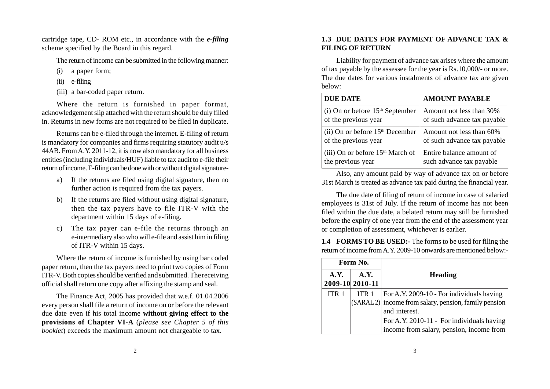cartridge tape, CD- ROM etc., in accordance with the *e-filing* scheme specified by the Board in this regard.

The return of income can be submitted in the following manner:

- (i) a paper form;
- (ii) e-filing
- (iii) a bar-coded paper return.

Where the return is furnished in paper format, acknowledgement slip attached with the return should be duly filled in. Returns in new forms are not required to be filed in duplicate.

Returns can be e-filed through the internet. E-filing of return is mandatory for companies and firms requiring statutory audit u/s 44AB. From A.Y. 2011-12, it is now also mandatory for all business entities (including individuals/HUF) liable to tax audit to e-file their return of income. E-filing can be done with or without digital signature-

- a) If the returns are filed using digital signature, then no further action is required from the tax payers.
- b) If the returns are filed without using digital signature, then the tax payers have to file ITR-V with the department within 15 days of e-filing.
- c) The tax payer can e-file the returns through an e-intermediary also who will e-file and assist him in filing of ITR-V within 15 days.

Where the return of income is furnished by using bar coded paper return, then the tax payers need to print two copies of Form ITR-V. Both copies should be verified and submitted. The receiving official shall return one copy after affixing the stamp and seal.

The Finance Act, 2005 has provided that w.e.f. 01.04.2006 every person shall file a return of income on or before the relevant due date even if his total income **without giving effect to the provisions of Chapter VI-A** (*please see Chapter 5 of this booklet*) exceeds the maximum amount not chargeable to tax.

# **1.3 DUE DATES FOR PAYMENT OF ADVANCE TAX & FILING OF RETURN**

Liability for payment of advance tax arises where the amount of tax payable by the assessee for the year is Rs.10,000/- or more. The due dates for various instalments of advance tax are given below:

| <b>DUE DATE</b>                    | <b>AMOUNT PAYABLE</b>       |
|------------------------------------|-----------------------------|
| (i) On or before $15th$ September  | Amount not less than 30%    |
| of the previous year               | of such advance tax payable |
| (ii) On or before $15th$ December  | Amount not less than 60%    |
| of the previous year               | of such advance tax payable |
| (iii) On or before $15th$ March of | Entire balance amount of    |
| the previous year                  | such advance tax payable    |

Also, any amount paid by way of advance tax on or before 31st March is treated as advance tax paid during the financial year.

The due date of filing of return of income in case of salaried employees is 31st of July. If the return of income has not been filed within the due date, a belated return may still be furnished before the expiry of one year from the end of the assessment year or completion of assessment, whichever is earlier.

**1.4 FORMS TO BE USED:-** The forms to be used for filing the return of income from A.Y. 2009-10 onwards are mentioned below:-

| Form No.         |                         |                                                         |  |
|------------------|-------------------------|---------------------------------------------------------|--|
| A.Y.             | A.Y.<br>2009-10 2010-11 | Heading                                                 |  |
| ITR <sub>1</sub> | ITR <sub>1</sub>        | For A.Y. 2009-10 - For individuals having               |  |
|                  |                         | $(SARAL 2)$ income from salary, pension, family pension |  |
|                  |                         | and interest.                                           |  |
|                  |                         | For A.Y. 2010-11 - For individuals having               |  |
|                  |                         | income from salary, pension, income from                |  |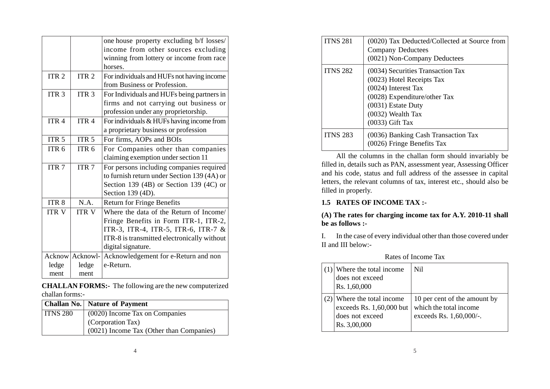|                    |                  | one house property excluding b/f losses/    |  |
|--------------------|------------------|---------------------------------------------|--|
|                    |                  | income from other sources excluding         |  |
|                    |                  | winning from lottery or income from race    |  |
|                    |                  | horses.                                     |  |
| ITR <sub>2</sub>   | ITR <sub>2</sub> | For individuals and HUFs not having income  |  |
|                    |                  | from Business or Profession.                |  |
| ITR <sub>3</sub>   | ITR <sub>3</sub> | For Individuals and HUFs being partners in  |  |
|                    |                  | firms and not carrying out business or      |  |
|                    |                  | profession under any proprietorship.        |  |
| ITR <sub>4</sub>   | ITR <sub>4</sub> | For individuals & HUFs having income from   |  |
|                    |                  | a proprietary business or profession        |  |
| ITR <sub>5</sub>   | ITR <sub>5</sub> | For firms, AOPs and BOIs                    |  |
| ITR <sub>6</sub>   | ITR <sub>6</sub> | For Companies other than companies          |  |
|                    |                  | claiming exemption under section 11         |  |
| ITR $\overline{7}$ | ITR <sub>7</sub> | For persons including companies required    |  |
|                    |                  | to furnish return under Section 139 (4A) or |  |
|                    |                  | Section 139 $(4B)$ or Section 139 $(4C)$ or |  |
|                    |                  | Section 139 (4D).                           |  |
| ITR <sub>8</sub>   | N.A.             | <b>Return for Fringe Benefits</b>           |  |
| <b>ITR V</b>       | <b>ITR V</b>     | Where the data of the Return of Income/     |  |
|                    |                  | Fringe Benefits in Form ITR-1, ITR-2,       |  |
|                    |                  | ITR-3, ITR-4, ITR-5, ITR-6, ITR-7 &         |  |
|                    |                  | ITR-8 is transmitted electronically without |  |
|                    |                  | digital signature.                          |  |
|                    | Acknow Acknowl-  | Acknowledgement for e-Return and non        |  |
| ledge              | ledge            | e-Return.                                   |  |
| ment               | ment             |                                             |  |

**CHALLAN FORMS:-** The following are the new computerized challan forms:-

|                 | <b>Challan No.</b> Nature of Payment     |
|-----------------|------------------------------------------|
| <b>ITNS 280</b> | (0020) Income Tax on Companies           |
|                 | (Corporation Tax)                        |
|                 | (0021) Income Tax (Other than Companies) |

| <b>ITNS 281</b> | (0020) Tax Deducted/Collected at Source from<br><b>Company Deductees</b><br>(0021) Non-Company Deductees                                                                              |  |
|-----------------|---------------------------------------------------------------------------------------------------------------------------------------------------------------------------------------|--|
| <b>ITNS 282</b> | (0034) Securities Transaction Tax<br>(0023) Hotel Receipts Tax<br>(0024) Interest Tax<br>(0028) Expenditure/other Tax<br>(0031) Estate Duty<br>(0032) Wealth Tax<br>$(0033)$ Gift Tax |  |
| <b>ITNS 283</b> | (0036) Banking Cash Transaction Tax<br>(0026) Fringe Benefits Tax                                                                                                                     |  |

All the columns in the challan form should invariably be filled in, details such as PAN, assessment year, Assessing Officer and his code, status and full address of the assessee in capital letters, the relevant columns of tax, interest etc., should also be filled in properly.

# **1.5 RATES OF INCOME TAX :-**

**(A) The rates for charging income tax for A.Y. 2010-11 shall be as follows :-**

I. In the case of every individual other than those covered under II and III below:-

| Where the total income.<br>does not exceed<br>Rs. 1,60,000                            | Nil.                                                                              |
|---------------------------------------------------------------------------------------|-----------------------------------------------------------------------------------|
| Where the total income<br>exceeds Rs. 1,60,000 but<br>does not exceed<br>Rs. 3,00,000 | 10 per cent of the amount by<br>which the total income<br>exceeds Rs. 1,60,000/-. |

Rates of Income Tax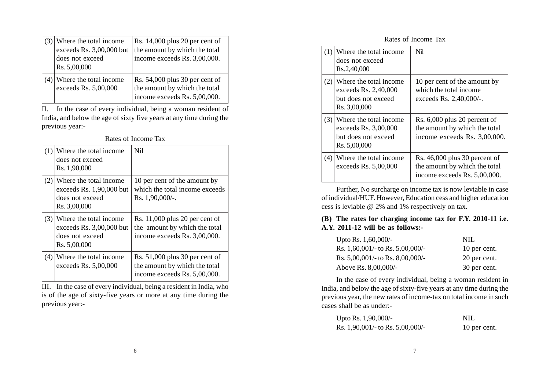|  | Where the total income<br>exceeds Rs. 3,00,000 but<br>does not exceed<br>Rs. 5,00,000 | Rs. $14,000$ plus 20 per cent of<br>the amount by which the total<br>income exceeds Rs. 3,00,000. |
|--|---------------------------------------------------------------------------------------|---------------------------------------------------------------------------------------------------|
|  | Where the total income<br>exceeds Rs. 5,00,000                                        | Rs. $54,000$ plus 30 per cent of<br>the amount by which the total<br>income exceeds Rs. 5,00,000. |

II. In the case of every individual, being a woman resident of India, and below the age of sixty five years at any time during the previous year:-

| Rates of Income Tax |
|---------------------|
|                     |

| (1) | Where the total income<br>does not exceed<br>Rs. 1,90,000                               | Ni1                                                                                                  |
|-----|-----------------------------------------------------------------------------------------|------------------------------------------------------------------------------------------------------|
| (2) | Where the total income.<br>exceeds Rs. 1,90,000 but<br>does not exceed<br>Rs. 3,00,000  | 10 per cent of the amount by<br>which the total income exceeds<br>Rs. 1,90,000/-.                    |
| (3) | Where the total income<br>exceeds $Rs. 3,00,000$ but<br>does not exceed<br>Rs. 5,00,000 | Rs. $11,000$ plus 20 per cent of<br>the amount by which the total<br>income exceeds Rs. 3,00,000.    |
|     | $(4)$ Where the total income<br>exceeds Rs. 5,00,000                                    | Rs. $51,000$ plus 30 per cent of<br>the amount by which the total<br>income exceeds Rs. $5,00,000$ . |

III. In the case of every individual, being a resident in India, who is of the age of sixty-five years or more at any time during the previous year:-

Rates of Income Tax

| (1) | Where the total income<br>does not exceed<br>Rs.2,40,000                               | Nil                                                                                             |
|-----|----------------------------------------------------------------------------------------|-------------------------------------------------------------------------------------------------|
| (2) | Where the total income<br>exceeds Rs. 2,40,000<br>but does not exceed<br>Rs. 3,00,000  | 10 per cent of the amount by<br>which the total income<br>exceeds Rs. $2,40,000/$ -.            |
| (3) | Where the total income.<br>exceeds Rs. 3,00,000<br>but does not exceed<br>Rs. 5,00,000 | Rs. $6,000$ plus 20 percent of<br>the amount by which the total<br>income exceeds Rs. 3,00,000. |
| (4) | Where the total income<br>exceeds Rs. 5,00,000                                         | Rs. 46,000 plus 30 percent of<br>the amount by which the total<br>income exceeds Rs. 5,00,000.  |

Further, No surcharge on income tax is now leviable in case of individual/HUF. However, Education cess and higher education cess is leviable @ 2% and 1% respectively on tax.

# **(B) The rates for charging income tax for F.Y. 2010-11 i.e. A.Y. 2011-12 will be as follows:-**

| Upto Rs. $1,60,000/$ -                 | NIL.         |
|----------------------------------------|--------------|
| Rs. $1,60,001/$ - to Rs. $5,00,000/$ - | 10 per cent. |
| Rs. $5,00,001/$ - to Rs. $8,00,000/$ - | 20 per cent. |
| Above Rs. 8,00,000/-                   | 30 per cent. |

In the case of every individual, being a woman resident in India, and below the age of sixty-five years at any time during the previous year, the new rates of income-tax on total income in such cases shall be as under:-

| Upto Rs. 1,90,000/-              | NIL.         |
|----------------------------------|--------------|
| Rs. 1,90,001/- to Rs. 5,00,000/- | 10 per cent. |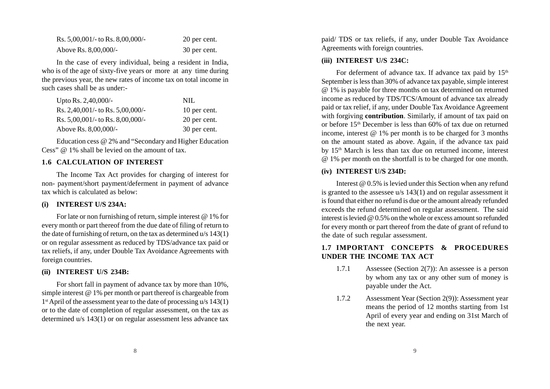| Rs. $5,00,001/$ - to Rs. $8,00,000/$ - | 20 per cent. |
|----------------------------------------|--------------|
| Above Rs. 8,00,000/-                   | 30 per cent. |

In the case of every individual, being a resident in India, who is of the age of sixty-five years or more at any time during the previous year, the new rates of income tax on total income in such cases shall be as under:-

| Upto Rs. $2,40,000/$ -              | NIL.         |
|-------------------------------------|--------------|
| Rs. 2,40,001/- to Rs. $5,00,000/$ - | 10 per cent. |
| Rs. 5,00,001/- to Rs. 8,00,000/-    | 20 per cent. |
| Above Rs. 8,00,000/-                | 30 per cent. |

Education cess @ 2% and "Secondary and Higher Education Cess" @ 1% shall be levied on the amount of tax.

#### **1.6 CALCULATION OF INTEREST**

The Income Tax Act provides for charging of interest for non- payment/short payment/deferment in payment of advance tax which is calculated as below:

#### **(i) INTEREST U/S 234A:**

For late or non furnishing of return, simple interest @ 1% for every month or part thereof from the due date of filing of return to the date of furnishing of return, on the tax as determined u/s 143(1) or on regular assessment as reduced by TDS/advance tax paid or tax reliefs, if any, under Double Tax Avoidance Agreements with foreign countries.

#### **(ii) INTEREST U/S 234B:**

For short fall in payment of advance tax by more than 10%, simple interest @ 1% per month or part thereof is chargeable from 1<sup>st</sup> April of the assessment year to the date of processing u/s 143(1) or to the date of completion of regular assessment, on the tax as determined u/s 143(1) or on regular assessment less advance tax

paid/ TDS or tax reliefs, if any, under Double Tax Avoidance Agreements with foreign countries.

#### **(iii) INTEREST U/S 234C:**

For deferment of advance tax. If advance tax paid by  $15<sup>th</sup>$ September is less than 30% of advance tax payable, simple interest @ 1% is payable for three months on tax determined on returned income as reduced by TDS/TCS/Amount of advance tax already paid or tax relief, if any, under Double Tax Avoidance Agreement with forgiving **contribution**. Similarly, if amount of tax paid on or before 15th December is less than 60% of tax due on returned income, interest @ 1% per month is to be charged for 3 months on the amount stated as above. Again, if the advance tax paid by 15th March is less than tax due on returned income, interest @ 1% per month on the shortfall is to be charged for one month.

#### **(iv) INTEREST U/S 234D:**

Interest @ 0.5% is levied under this Section when any refund is granted to the assessee u/s 143(1) and on regular assessment it is found that either no refund is due or the amount already refunded exceeds the refund determined on regular assessment. The said interest is levied @ 0.5% on the whole or excess amount so refunded for every month or part thereof from the date of grant of refund to the date of such regular assessment.

### **1.7 IMPORTANT CONCEPTS & PROCEDURES UNDER THE INCOME TAX ACT**

- 1.7.1 Assessee (Section 2(7)): An assessee is a person by whom any tax or any other sum of money is payable under the Act.
- 1.7.2 Assessment Year (Section 2(9)): Assessment year means the period of 12 months starting from 1st April of every year and ending on 31st March of the next year.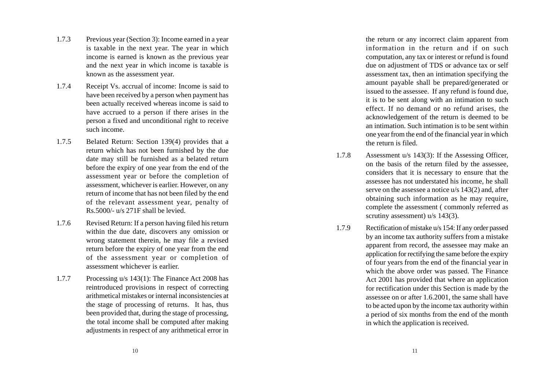- 1.7.3 Previous year (Section 3): Income earned in a year is taxable in the next year. The year in which income is earned is known as the previous year and the next year in which income is taxable is known as the assessment year.
- 1.7.4 Receipt Vs. accrual of income: Income is said to have been received by a person when payment has been actually received whereas income is said to have accrued to a person if there arises in the person a fixed and unconditional right to receive such income.
- 1.7.5 Belated Return: Section 139(4) provides that a return which has not been furnished by the due date may still be furnished as a belated return before the expiry of one year from the end of the assessment year or before the completion of assessment, whichever is earlier. However, on any return of income that has not been filed by the end of the relevant assessment year, penalty of Rs.5000/- u/s 271F shall be levied.
- 1.7.6 Revised Return: If a person having filed his return within the due date, discovers any omission or wrong statement therein, he may file a revised return before the expiry of one year from the end of the assessment year or completion of assessment whichever is earlier.
- 1.7.7 Processing u/s 143(1): The Finance Act 2008 has reintroduced provisions in respect of correcting arithmetical mistakes or internal inconsistencies at the stage of processing of returns. It has, thus been provided that, during the stage of processing, the total income shall be computed after making adjustments in respect of any arithmetical error in

the return or any incorrect claim apparent from information in the return and if on such computation, any tax or interest or refund is found due on adjustment of TDS or advance tax or self assessment tax, then an intimation specifying the amount payable shall be prepared/generated or issued to the assessee. If any refund is found due, it is to be sent along with an intimation to such effect. If no demand or no refund arises, the acknowledgement of the return is deemed to be an intimation. Such intimation is to be sent within one year from the end of the financial year in which the return is filed.

- 1.7.8 Assessment u/s 143(3): If the Assessing Officer, on the basis of the return filed by the assessee, considers that it is necessary to ensure that the assessee has not understated his income, he shall serve on the assessee a notice u/s 143(2) and, after obtaining such information as he may require, complete the assessment ( commonly referred as scrutiny assessment) u/s 143(3).
- 1.7.9 Rectification of mistake u/s 154: If any order passed by an income tax authority suffers from a mistake apparent from record, the assessee may make an application for rectifying the same before the expiry of four years from the end of the financial year in which the above order was passed. The Finance Act 2001 has provided that where an application for rectification under this Section is made by the assessee on or after 1.6.2001, the same shall have to be acted upon by the income tax authority within a period of six months from the end of the month in which the application is received.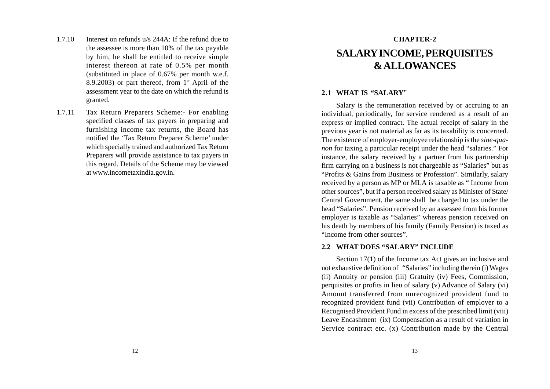- 1.7.10 Interest on refunds u/s 244A: If the refund due to the assessee is more than 10% of the tax payable by him, he shall be entitled to receive simple interest thereon at rate of 0.5% per month (substituted in place of 0.67% per month w.e.f. 8.9.2003) or part thereof, from  $1<sup>st</sup>$  April of the assessment year to the date on which the refund is granted.
- 1.7.11 Tax Return Preparers Scheme:- For enabling specified classes of tax payers in preparing and furnishing income tax returns, the Board has notified the 'Tax Return Preparer Scheme' under which specially trained and authorized Tax Return Preparers will provide assistance to tax payers in this regard. Details of the Scheme may be viewed at www.incometaxindia.gov.in.

# **CHAPTER-2 SALARY INCOME, PERQUISITES & ALLOWANCES**

#### **2.1 WHAT IS "SALARY**"

Salary is the remuneration received by or accruing to an individual, periodically, for service rendered as a result of an express or implied contract. The actual receipt of salary in the previous year is not material as far as its taxability is concerned. The existence of employer-employee relationship is the *sine-quanon* for taxing a particular receipt under the head "salaries." For instance, the salary received by a partner from his partnership firm carrying on a business is not chargeable as "Salaries" but as "Profits & Gains from Business or Profession". Similarly, salary received by a person as MP or MLA is taxable as " Income from other sources", but if a person received salary as Minister of State/ Central Government, the same shall be charged to tax under the head "Salaries". Pension received by an assessee from his former employer is taxable as "Salaries" whereas pension received on his death by members of his family (Family Pension) is taxed as "Income from other sources".

#### **2.2 WHAT DOES "SALARY" INCLUDE**

Section 17(1) of the Income tax Act gives an inclusive and not exhaustive definition of "Salaries" including therein (i) Wages (ii) Annuity or pension (iii) Gratuity (iv) Fees, Commission, perquisites or profits in lieu of salary (v) Advance of Salary (vi) Amount transferred from unrecognized provident fund to recognized provident fund (vii) Contribution of employer to a Recognised Provident Fund in excess of the prescribed limit (viii) Leave Encashment (ix) Compensation as a result of variation in Service contract etc. (x) Contribution made by the Central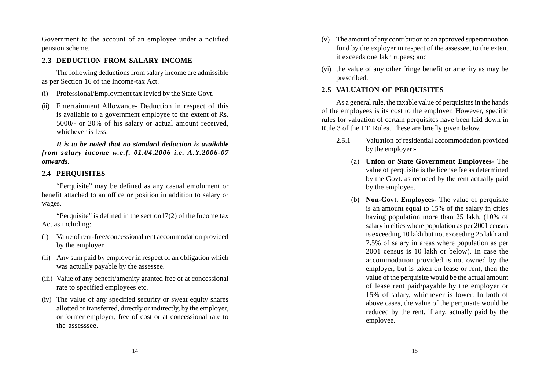Government to the account of an employee under a notified pension scheme.

#### **2.3 DEDUCTION FROM SALARY INCOME**

The following deductions from salary income are admissible as per Section 16 of the Income-tax Act.

- (i) Professional/Employment tax levied by the State Govt.
- (ii) Entertainment Allowance- Deduction in respect of this is available to a government employee to the extent of Rs. 5000/- or 20% of his salary or actual amount received, whichever is less.

*It is to be noted that no standard deduction is available from salary income w.e.f. 01.04.2006 i.e. A.Y.2006-07 onwards.*

#### **2.4 PERQUISITES**

"Perquisite" may be defined as any casual emolument or benefit attached to an office or position in addition to salary or wages.

"Perquisite" is defined in the section  $17(2)$  of the Income tax Act as including:

- (i) Value of rent-free/concessional rent accommodation provided by the employer.
- (ii) Any sum paid by employer in respect of an obligation which was actually payable by the assessee.
- (iii) Value of any benefit/amenity granted free or at concessional rate to specified employees etc.
- (iv) The value of any specified security or sweat equity shares allotted or transferred, directly or indirectly, by the employer, or former employer, free of cost or at concessional rate to the assesssee.
- (v) The amount of any contribution to an approved superannuation fund by the exployer in respect of the assessee, to the extent it exceeds one lakh rupees; and
- (vi) the value of any other fringe benefit or amenity as may be prescribed.

### **2.5 VALUATION OF PERQUISITES**

As a general rule, the taxable value of perquisites in the hands of the employees is its cost to the employer. However, specific rules for valuation of certain perquisites have been laid down in Rule 3 of the I.T. Rules. These are briefly given below.

- 2.5.1 Valuation of residential accommodation provided by the employer:-
	- (a) **Union or State Government Employees-** The value of perquisite is the license fee as determined by the Govt. as reduced by the rent actually paid by the employee.
	- (b) **Non-Govt. Employees-** The value of perquisite is an amount equal to 15% of the salary in cities having population more than 25 lakh, (10% of salary in cities where population as per 2001 census is exceeding 10 lakh but not exceeding 25 lakh and 7.5% of salary in areas where population as per 2001 census is 10 lakh or below). In case the accommodation provided is not owned by the employer, but is taken on lease or rent, then the value of the perquisite would be the actual amount of lease rent paid/payable by the employer or 15% of salary, whichever is lower. In both of above cases, the value of the perquisite would be reduced by the rent, if any, actually paid by the employee.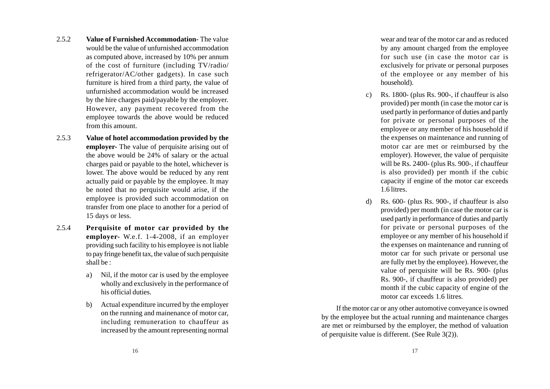- 2.5.2 **Value of Furnished Accommodation-** The value would be the value of unfurnished accommodation as computed above, increased by 10% per annum of the cost of furniture (including TV/radio/ refrigerator/AC/other gadgets). In case such furniture is hired from a third party, the value of unfurnished accommodation would be increased by the hire charges paid/payable by the employer. However, any payment recovered from the employee towards the above would be reduced from this amount.
- 2.5.3 **Value of hotel accommodation provided by the employer-** The value of perquisite arising out of the above would be 24% of salary or the actual charges paid or payable to the hotel, whichever is lower. The above would be reduced by any rent actually paid or payable by the employee. It may be noted that no perquisite would arise, if the employee is provided such accommodation on transfer from one place to another for a period of 15 days or less.
- 2.5.4 **Perquisite of motor car provided by the employer-** W.e.f. 1-4-2008, if an employer providing such facility to his employee is not liable to pay fringe benefit tax, the value of such perquisite shall be :
	- a) Nil, if the motor car is used by the employee wholly and exclusively in the performance of his official duties.
	- b) Actual expenditure incurred by the employer on the running and mainenance of motor car, including remuneration to chauffeur as increased by the amount representing normal

wear and tear of the motor car and as reduced by any amount charged from the employee for such use (in case the motor car is exclusively for private or personal purposes of the employee or any member of his household).

- c) Rs. 1800- (plus Rs. 900-, if chauffeur is also provided) per month (in case the motor car is used partly in performance of duties and partly for private or personal purposes of the employee or any member of his household if the expenses on maintenance and running of motor car are met or reimbursed by the employer). However, the value of perquisite will be Rs. 2400- (plus Rs. 900-, if chauffeur is also provided) per month if the cubic capacity if engine of the motor car exceeds 1.6 litres.
- d) Rs. 600- (plus Rs. 900-, if chauffeur is also provided) per month (in case the motor car is used partly in performance of duties and partly for private or personal purposes of the employee or any member of his household if the expenses on maintenance and running of motor car for such private or personal use are fully met by the employee). However, the value of perquisite will be Rs. 900- (plus Rs. 900-, if chauffeur is also provided) per month if the cubic capacity of engine of the motor car exceeds 1.6 litres.

If the motor car or any other automotive conveyance is owned by the employee but the actual running and maintenance charges are met or reimbursed by the employer, the method of valuation of perquisite value is different. (See Rule 3(2)).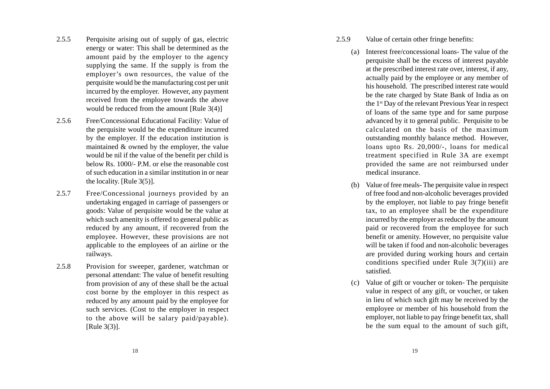- 2.5.5 Perquisite arising out of supply of gas, electric energy or water: This shall be determined as the amount paid by the employer to the agency supplying the same. If the supply is from the employer's own resources, the value of the perquisite would be the manufacturing cost per unit incurred by the employer. However, any payment received from the employee towards the above would be reduced from the amount [Rule 3(4)]
- 2.5.6 Free/Concessional Educational Facility: Value of the perquisite would be the expenditure incurred by the employer. If the education institution is maintained & owned by the employer, the value would be nil if the value of the benefit per child is below Rs. 1000/- P.M. or else the reasonable cost of such education in a similar institution in or near the locality. [Rule 3(5)].
- 2.5.7 Free/Concessional journeys provided by an undertaking engaged in carriage of passengers or goods: Value of perquisite would be the value at which such amenity is offered to general public as reduced by any amount, if recovered from the employee. However, these provisions are not applicable to the employees of an airline or the railways.
- 2.5.8 Provision for sweeper, gardener, watchman or personal attendant: The value of benefit resulting from provision of any of these shall be the actual cost borne by the employer in this respect as reduced by any amount paid by the employee for such services. (Cost to the employer in respect to the above will be salary paid/payable). [Rule 3(3)].
- 2.5.9 Value of certain other fringe benefits:
	- (a) Interest free/concessional loans- The value of the perquisite shall be the excess of interest payable at the prescribed interest rate over, interest, if any, actually paid by the employee or any member of his household. The prescribed interest rate would be the rate charged by State Bank of India as on the 1st Day of the relevant Previous Year in respect of loans of the same type and for same purpose advanced by it to general public. Perquisite to be calculated on the basis of the maximum outstanding monthly balance method. However, loans upto Rs. 20,000/-, loans for medical treatment specified in Rule 3A are exempt provided the same are not reimbursed under medical insurance.
	- (b) Value of free meals- The perquisite value in respect of free food and non-alcoholic beverages provided by the employer, not liable to pay fringe benefit tax, to an employee shall be the expenditure incurred by the employer as reduced by the amount paid or recovered from the employee for such benefit or amenity. However, no perquisite value will be taken if food and non-alcoholic beverages are provided during working hours and certain conditions specified under Rule 3(7)(iii) are satisfied.
	- (c) Value of gift or voucher or token- The perquisite value in respect of any gift, or voucher, or taken in lieu of which such gift may be received by the employee or member of his household from the employer, not liable to pay fringe benefit tax, shall be the sum equal to the amount of such gift,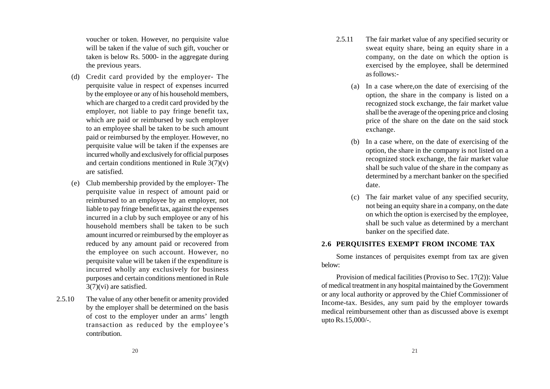voucher or token. However, no perquisite value will be taken if the value of such gift, voucher or taken is below Rs. 5000- in the aggregate during the previous years.

- (d) Credit card provided by the employer- The perquisite value in respect of expenses incurred by the employee or any of his household members, which are charged to a credit card provided by the employer, not liable to pay fringe benefit tax, which are paid or reimbursed by such employer to an employee shall be taken to be such amount paid or reimbursed by the employer. However, no perquisite value will be taken if the expenses are incurred wholly and exclusively for official purposes and certain conditions mentioned in Rule  $3(7)(v)$ are satisfied.
- (e) Club membership provided by the employer- The perquisite value in respect of amount paid or reimbursed to an employee by an employer, not liable to pay fringe benefit tax, against the expenses incurred in a club by such employee or any of his household members shall be taken to be such amount incurred or reimbursed by the employer as reduced by any amount paid or recovered from the employee on such account. However, no perquisite value will be taken if the expenditure is incurred wholly any exclusively for business purposes and certain conditions mentioned in Rule 3(7)(vi) are satisfied.
- 2.5.10 The value of any other benefit or amenity provided by the employer shall be determined on the basis of cost to the employer under an arms' length transaction as reduced by the employee's contribution.
- 2.5.11 The fair market value of any specified security or sweat equity share, being an equity share in a company, on the date on which the option is exercised by the employee, shall be determined as follows:-
	- (a) In a case where,on the date of exercising of the option, the share in the company is listed on a recognized stock exchange, the fair market value shall be the average of the opening price and closing price of the share on the date on the said stock exchange.
	- (b) In a case where, on the date of exercising of the option, the share in the company is not listed on a recognized stock exchange, the fair market value shall be such value of the share in the company as determined by a merchant banker on the specified date.
	- (c) The fair market value of any specified security, not being an equity share in a company, on the date on which the option is exercised by the employee, shall be such value as determined by a merchant banker on the specified date.

# **2.6 PERQUISITES EXEMPT FROM INCOME TAX**

Some instances of perquisites exempt from tax are given below:

Provision of medical facilities (Proviso to Sec. 17(2)): Value of medical treatment in any hospital maintained by the Government or any local authority or approved by the Chief Commissioner of Income-tax. Besides, any sum paid by the employer towards medical reimbursement other than as discussed above is exempt upto Rs.15,000/-.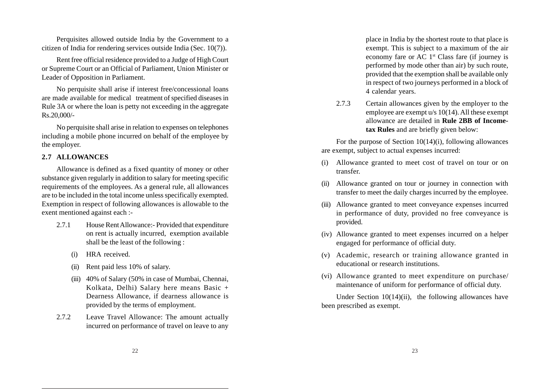Perquisites allowed outside India by the Government to a citizen of India for rendering services outside India (Sec. 10(7)).

Rent free official residence provided to a Judge of High Court or Supreme Court or an Official of Parliament, Union Minister or Leader of Opposition in Parliament.

No perquisite shall arise if interest free/concessional loans are made available for medical treatment of specified diseases in Rule 3A or where the loan is petty not exceeding in the aggregate Rs.20,000/-

No perquisite shall arise in relation to expenses on telephones including a mobile phone incurred on behalf of the employee by the employer.

### **2.7 ALLOWANCES**

Allowance is defined as a fixed quantity of money or other substance given regularly in addition to salary for meeting specific requirements of the employees. As a general rule, all allowances are to be included in the total income unless specifically exempted. Exemption in respect of following allowances is allowable to the exent mentioned against each :-

- 2.7.1 House Rent Allowance:- Provided that expenditure on rent is actually incurred, exemption available shall be the least of the following :
	- (i) HRA received.
	- (ii) Rent paid less 10% of salary.
	- (iii) 40% of Salary (50% in case of Mumbai, Chennai, Kolkata, Delhi) Salary here means Basic + Dearness Allowance, if dearness allowance is provided by the terms of employment.
- 2.7.2 Leave Travel Allowance: The amount actually incurred on performance of travel on leave to any

place in India by the shortest route to that place is exempt. This is subject to a maximum of the air economy fare or AC 1st Class fare (if journey is performed by mode other than air) by such route, provided that the exemption shall be available only in respect of two journeys performed in a block of 4 calendar years.

2.7.3 Certain allowances given by the employer to the employee are exempt u/s 10(14). All these exempt allowance are detailed in **Rule 2BB of Incometax Rules** and are briefly given below:

For the purpose of Section 10(14)(i), following allowances are exempt, subject to actual expenses incurred:

- (i) Allowance granted to meet cost of travel on tour or on transfer.
- (ii) Allowance granted on tour or journey in connection with transfer to meet the daily charges incurred by the employee.
- (iii) Allowance granted to meet conveyance expenses incurred in performance of duty, provided no free conveyance is provided.
- (iv) Allowance granted to meet expenses incurred on a helper engaged for performance of official duty.
- (v) Academic, research or training allowance granted in educational or research institutions.
- (vi) Allowance granted to meet expenditure on purchase/ maintenance of uniform for performance of official duty.

Under Section  $10(14)(ii)$ , the following allowances have been prescribed as exempt.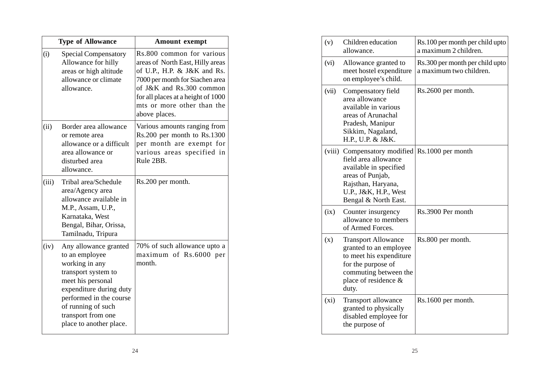|       | <b>Type of Allowance</b>                                                                                                                                                                                                           | <b>Amount exempt</b>                                                                                                                                                                                                                             |  |
|-------|------------------------------------------------------------------------------------------------------------------------------------------------------------------------------------------------------------------------------------|--------------------------------------------------------------------------------------------------------------------------------------------------------------------------------------------------------------------------------------------------|--|
| (i)   | <b>Special Compensatory</b><br>Allowance for hilly<br>areas or high altitude<br>allowance or climate<br>allowance.                                                                                                                 | Rs.800 common for various<br>areas of North East, Hilly areas<br>of U.P., H.P. & J&K and Rs.<br>7000 per month for Siachen area<br>of J&K and Rs.300 common<br>for all places at a height of 1000<br>mts or more other than the<br>above places. |  |
| (ii)  | Border area allowance<br>or remote area<br>allowance or a difficult<br>area allowance or<br>disturbed area<br>allowance.                                                                                                           | Various amounts ranging from<br>Rs.200 per month to Rs.1300<br>per month are exempt for<br>various areas specified in<br>Rule 2BB.                                                                                                               |  |
| (iii) | Tribal area/Schedule<br>area/Agency area<br>allowance available in<br>M.P., Assam, U.P.,<br>Karnataka, West<br>Bengal, Bihar, Orissa,<br>Tamilnadu, Tripura                                                                        | Rs.200 per month.                                                                                                                                                                                                                                |  |
| (iv)  | Any allowance granted<br>to an employee<br>working in any<br>transport system to<br>meet his personal<br>expenditure during duty<br>performed in the course<br>of running of such<br>transport from one<br>place to another place. | 70% of such allowance upto a<br>maximum of Rs.6000 per<br>month.                                                                                                                                                                                 |  |

| (v)   | Children education<br>allowance.                                                                                                                                          | Rs.100 per month per child upto<br>a maximum 2 children.   |  |
|-------|---------------------------------------------------------------------------------------------------------------------------------------------------------------------------|------------------------------------------------------------|--|
| (vi)  | Allowance granted to<br>meet hostel expenditure<br>on employee's child.                                                                                                   | Rs.300 per month per child upto<br>a maximum two children. |  |
| (vii) | Compensatory field<br>area allowance<br>available in various<br>areas of Arunachal<br>Pradesh, Manipur<br>Sikkim, Nagaland,<br>H.P., U.P. & J&K.                          | Rs.2600 per month.                                         |  |
|       | (viii) Compensatory modified<br>field area allowance<br>available in specified<br>areas of Punjab,<br>Rajsthan, Haryana,<br>U.P., J&K, H.P., West<br>Bengal & North East. | Rs.1000 per month                                          |  |
| (ix)  | Counter insurgency<br>allowance to members<br>of Armed Forces.                                                                                                            | Rs.3900 Per month                                          |  |
| (x)   | <b>Transport Allowance</b><br>granted to an employee<br>to meet his expenditure<br>for the purpose of<br>commuting between the<br>place of residence &<br>duty.           | Rs.800 per month.                                          |  |
| (xi)  | Transport allowance<br>granted to physically<br>disabled employee for<br>the purpose of                                                                                   | Rs.1600 per month.                                         |  |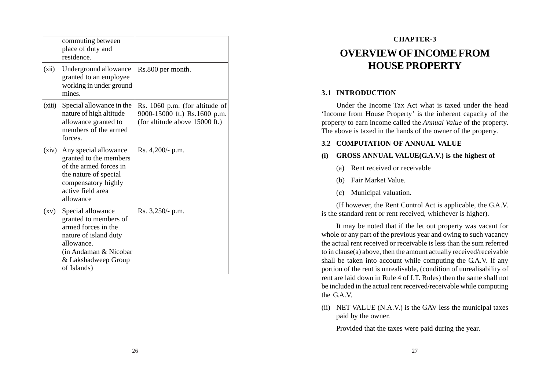|                    | commuting between<br>place of duty and<br>residence.                                                                                                                     |                                                                                                  |
|--------------------|--------------------------------------------------------------------------------------------------------------------------------------------------------------------------|--------------------------------------------------------------------------------------------------|
| (xii)              | Underground allowance<br>granted to an employee<br>working in under ground<br>mines                                                                                      | Rs.800 per month.                                                                                |
| (xiii)             | Special allowance in the<br>nature of high altitude<br>allowance granted to<br>members of the armed<br>forces.                                                           | Rs. 1060 p.m. (for altitude of<br>9000-15000 ft.) Rs.1600 p.m.<br>(for altitude above 15000 ft.) |
| (xiv)              | Any special allowance<br>granted to the members<br>of the armed forces in<br>the nature of special<br>compensatory highly<br>active field area<br>allowance              | Rs. 4,200/- p.m.                                                                                 |
| $\left( xy\right)$ | Special allowance<br>granted to members of<br>armed forces in the<br>nature of island duty<br>allowance.<br>(in Andaman & Nicobar)<br>& Lakshadweep Group<br>of Islands) | Rs. $3,250/$ - p.m.                                                                              |

# **CHAPTER-3 OVERVIEW OF INCOME FROM HOUSE PROPERTY**

### **3.1 INTRODUCTION**

Under the Income Tax Act what is taxed under the head 'Income from House Property' is the inherent capacity of the property to earn income called the *Annual Value* of the property. The above is taxed in the hands of the owner of the property.

#### **3.2 COMPUTATION OF ANNUAL VALUE**

### **(i) GROSS ANNUAL VALUE(G.A.V.) is the highest of**

- (a) Rent received or receivable
- (b) Fair Market Value.
- (c) Municipal valuation.

(If however, the Rent Control Act is applicable, the G.A.V. is the standard rent or rent received, whichever is higher).

It may be noted that if the let out property was vacant for whole or any part of the previous year and owing to such vacancy the actual rent received or receivable is less than the sum referred to in clause(a) above, then the amount actually received/receivable shall be taken into account while computing the G.A.V. If any portion of the rent is unrealisable, (condition of unrealisability of rent are laid down in Rule 4 of I.T. Rules) then the same shall not be included in the actual rent received/receivable while computing the G.A.V.

(ii) NET VALUE (N.A.V.) is the GAV less the municipal taxes paid by the owner.

Provided that the taxes were paid during the year.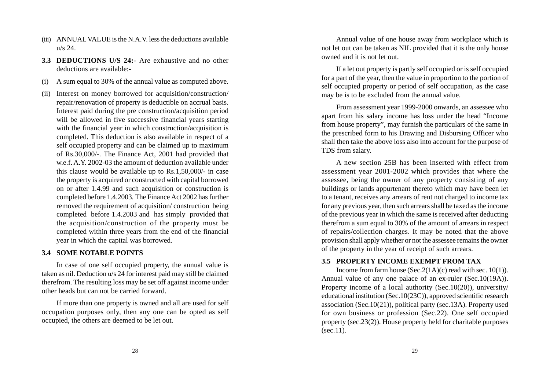- (iii) ANNUAL VALUE is the N.A.V. less the deductions available  $u/s$  24.
- **3.3 DEDUCTIONS U/S 24:** Are exhaustive and no other deductions are available:-
- (i) A sum equal to 30% of the annual value as computed above.
- (ii) Interest on money borrowed for acquisition/construction/ repair/renovation of property is deductible on accrual basis. Interest paid during the pre construction/acquisition period will be allowed in five successive financial years starting with the financial year in which construction/acquisition is completed. This deduction is also available in respect of a self occupied property and can be claimed up to maximum of Rs.30,000/-. The Finance Act, 2001 had provided that w.e.f. A.Y. 2002-03 the amount of deduction available under this clause would be available up to Rs.1,50,000/- in case the property is acquired or constructed with capital borrowed on or after 1.4.99 and such acquisition or construction is completed before 1.4.2003. The Finance Act 2002 has further removed the requirement of acquisition/ construction being completed before 1.4.2003 and has simply provided that the acquisition/construction of the property must be completed within three years from the end of the financial year in which the capital was borrowed.

### **3.4 SOME NOTABLE POINTS**

In case of one self occupied property, the annual value is taken as nil. Deduction u/s 24 for interest paid may still be claimed therefrom. The resulting loss may be set off against income under other heads but can not be carried forward.

If more than one property is owned and all are used for self occupation purposes only, then any one can be opted as self occupied, the others are deemed to be let out.

Annual value of one house away from workplace which is not let out can be taken as NIL provided that it is the only house owned and it is not let out.

If a let out property is partly self occupied or is self occupied for a part of the year, then the value in proportion to the portion of self occupied property or period of self occupation, as the case may be is to be excluded from the annual value.

From assessment year 1999-2000 onwards, an assessee who apart from his salary income has loss under the head "Income from house property", may furnish the particulars of the same in the prescribed form to his Drawing and Disbursing Officer who shall then take the above loss also into account for the purpose of TDS from salary.

A new section 25B has been inserted with effect from assessment year 2001-2002 which provides that where the assessee, being the owner of any property consisting of any buildings or lands appurtenant thereto which may have been let to a tenant, receives any arrears of rent not charged to income tax for any previous year, then such arrears shall be taxed as the income of the previous year in which the same is received after deducting therefrom a sum equal to 30% of the amount of arrears in respect of repairs/collection charges. It may be noted that the above provision shall apply whether or not the assessee remains the owner of the property in the year of receipt of such arrears.

# **3.5 PROPERTY INCOME EXEMPT FROM TAX**

Income from farm house (Sec.  $2(1A)(c)$  read with sec. 10(1)). Annual value of any one palace of an ex-ruler (Sec.10(19A)). Property income of a local authority (Sec.10(20)), university/ educational institution (Sec.10(23C)), approved scientific research association (Sec.10(21)), political party (sec.13A). Property used for own business or profession (Sec.22). One self occupied property (sec.23(2)). House property held for charitable purposes  $(sec.11)$ .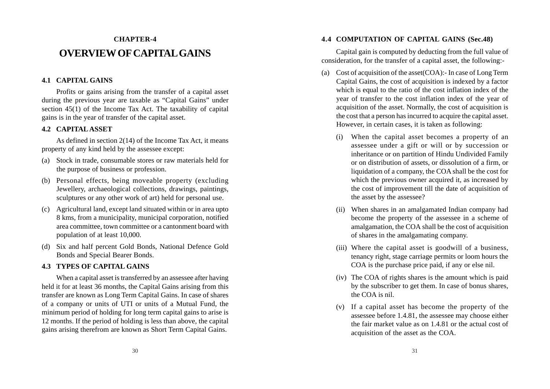# **CHAPTER-4 OVERVIEW OF CAPITAL GAINS**

# **4.1 CAPITAL GAINS**

Profits or gains arising from the transfer of a capital asset during the previous year are taxable as "Capital Gains" under section 45(1) of the Income Tax Act. The taxability of capital gains is in the year of transfer of the capital asset.

### **4.2 CAPITAL ASSET**

As defined in section 2(14) of the Income Tax Act, it means property of any kind held by the assessee except:

- (a) Stock in trade, consumable stores or raw materials held for the purpose of business or profession.
- (b) Personal effects, being moveable property (excluding Jewellery, archaeological collections, drawings, paintings, sculptures or any other work of art) held for personal use.
- (c) Agricultural land, except land situated within or in area upto 8 kms, from a municipality, municipal corporation, notified area committee, town committee or a cantonment board with population of at least 10,000.
- (d) Six and half percent Gold Bonds, National Defence Gold Bonds and Special Bearer Bonds.

# **4.3 TYPES OF CAPITAL GAINS**

When a capital asset is transferred by an assessee after having held it for at least 36 months, the Capital Gains arising from this transfer are known as Long Term Capital Gains. In case of shares of a company or units of UTI or units of a Mutual Fund, the minimum period of holding for long term capital gains to arise is 12 months. If the period of holding is less than above, the capital gains arising therefrom are known as Short Term Capital Gains.

# **4.4 COMPUTATION OF CAPITAL GAINS (Sec.48)**

Capital gain is computed by deducting from the full value of consideration, for the transfer of a capital asset, the following:-

- (a) Cost of acquisition of the asset(COA):- In case of Long Term Capital Gains, the cost of acquisition is indexed by a factor which is equal to the ratio of the cost inflation index of the year of transfer to the cost inflation index of the year of acquisition of the asset. Normally, the cost of acquisition is the cost that a person has incurred to acquire the capital asset. However, in certain cases, it is taken as following:
	- When the capital asset becomes a property of an assessee under a gift or will or by succession or inheritance or on partition of Hindu Undivided Family or on distribution of assets, or dissolution of a firm, or liquidation of a company, the COA shall be the cost for which the previous owner acquired it, as increased by the cost of improvement till the date of acquisition of the asset by the assessee?
	- (ii) When shares in an amalgamated Indian company had become the property of the assessee in a scheme of amalgamation, the COA shall be the cost of acquisition of shares in the amalgamating company.
	- (iii) Where the capital asset is goodwill of a business, tenancy right, stage carriage permits or loom hours the COA is the purchase price paid, if any or else nil.
	- (iv) The COA of rights shares is the amount which is paid by the subscriber to get them. In case of bonus shares, the COA is nil.
	- (v) If a capital asset has become the property of the assessee before 1.4.81, the assessee may choose either the fair market value as on 1.4.81 or the actual cost of acquisition of the asset as the COA.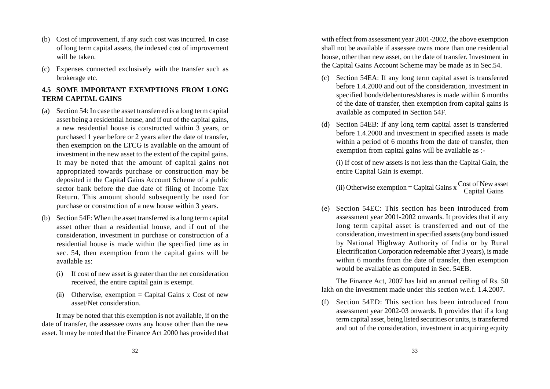- (b) Cost of improvement, if any such cost was incurred. In case of long term capital assets, the indexed cost of improvement will be taken.
- (c) Expenses connected exclusively with the transfer such as brokerage etc.

# **4.5 SOME IMPORTANT EXEMPTIONS FROM LONG TERM CAPITAL GAINS**

- (a) Section 54: In case the asset transferred is a long term capital asset being a residential house, and if out of the capital gains, a new residential house is constructed within 3 years, or purchased 1 year before or 2 years after the date of transfer, then exemption on the LTCG is available on the amount of investment in the new asset to the extent of the capital gains. It may be noted that the amount of capital gains not appropriated towards purchase or construction may be deposited in the Capital Gains Account Scheme of a public sector bank before the due date of filing of Income Tax Return. This amount should subsequently be used for purchase or construction of a new house within 3 years.
- (b) Section 54F: When the asset transferred is a long term capital asset other than a residential house, and if out of the consideration, investment in purchase or construction of a residential house is made within the specified time as in sec. 54, then exemption from the capital gains will be available as:
	- (i) If cost of new asset is greater than the net consideration received, the entire capital gain is exempt.
	- (ii) Otherwise, exemption  $=$  Capital Gains x Cost of new asset/Net consideration.

It may be noted that this exemption is not available, if on the date of transfer, the assessee owns any house other than the new asset. It may be noted that the Finance Act 2000 has provided that with effect from assessment year 2001-2002, the above exemption shall not be available if assessee owns more than one residential house, other than new asset, on the date of transfer. Investment in the Capital Gains Account Scheme may be made as in Sec.54.

- (c) Section 54EA: If any long term capital asset is transferred before 1.4.2000 and out of the consideration, investment in specified bonds/debentures/shares is made within 6 months of the date of transfer, then exemption from capital gains is available as computed in Section 54F.
- (d) Section 54EB: If any long term capital asset is transferred before 1.4.2000 and investment in specified assets is made within a period of 6 months from the date of transfer, then exemption from capital gains will be available as :-

(i) If cost of new assets is not less than the Capital Gain, the entire Capital Gain is exempt.

(ii) Otherwise exemption = Capital Gains  $x \frac{\text{Cost of New asset}}{\text{Cost of } 1.6}$ 

(e) Section 54EC: This section has been introduced from assessment year 2001-2002 onwards. It provides that if any long term capital asset is transferred and out of the consideration, investment in specified assets (any bond issued by National Highway Authority of India or by Rural Electrification Corporation redeemable after 3 years), is made within 6 months from the date of transfer, then exemption would be available as computed in Sec. 54EB.

The Finance Act, 2007 has laid an annual ceiling of Rs. 50 lakh on the investment made under this section w.e.f. 1.4.2007.

Section 54ED: This section has been introduced from assessment year 2002-03 onwards. It provides that if a long term capital asset, being listed securities or units, is transferred and out of the consideration, investment in acquiring equity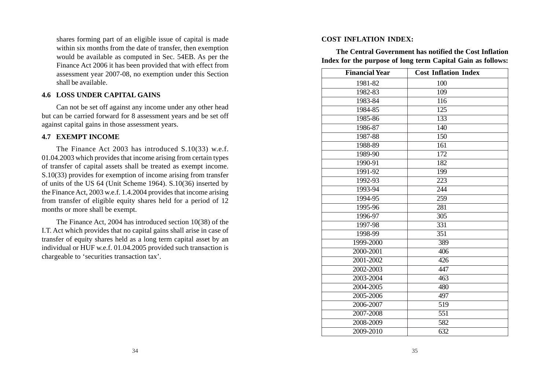shares forming part of an eligible issue of capital is made within six months from the date of transfer, then exemption would be available as computed in Sec. 54EB. As per the Finance Act 2006 it has been provided that with effect from assessment year 2007-08, no exemption under this Section shall be available.

# **4.6 LOSS UNDER CAPITAL GAINS**

Can not be set off against any income under any other head but can be carried forward for 8 assessment years and be set off against capital gains in those assessment years.

#### **4.7 EXEMPT INCOME**

The Finance Act 2003 has introduced S.10(33) w.e.f. 01.04.2003 which provides that income arising from certain types of transfer of capital assets shall be treated as exempt income. S.10(33) provides for exemption of income arising from transfer of units of the US 64 (Unit Scheme 1964). S.10(36) inserted by the Finance Act, 2003 w.e.f. 1.4.2004 provides that income arising from transfer of eligible equity shares held for a period of 12 months or more shall be exempt.

The Finance Act, 2004 has introduced section 10(38) of the I.T. Act which provides that no capital gains shall arise in case of transfer of equity shares held as a long term capital asset by an individual or HUF w.e.f. 01.04.2005 provided such transaction is chargeable to 'securities transaction tax'.

#### **COST INFLATION INDEX:**

**The Central Government has notified the Cost Inflation Index for the purpose of long term Capital Gain as follows:**

| <b>Financial Year</b> | <b>Cost Inflation Index</b> |
|-----------------------|-----------------------------|
| 1981-82               | 100                         |
| 1982-83               | $\overline{109}$            |
| 1983-84               | 116                         |
| 1984-85               | $\overline{125}$            |
| 1985-86               | 133                         |
| 1986-87               | $\overline{140}$            |
| 1987-88               | $\overline{150}$            |
| 1988-89               | $\overline{161}$            |
| 1989-90               | $\overline{172}$            |
| 1990-91               | $\overline{182}$            |
| 1991-92               | 199                         |
| 1992-93               | $\overline{223}$            |
| 1993-94               | 244                         |
| 1994-95               | $\overline{259}$            |
| 1995-96               | $\overline{281}$            |
| 1996-97               | $\overline{305}$            |
| 1997-98               | 331                         |
| 1998-99               | 351                         |
| 1999-2000             | 389                         |
| 2000-2001             | 406                         |
| 2001-2002             | $\overline{426}$            |
| 2002-2003             | 447                         |
| 2003-2004             | $\overline{463}$            |
| 2004-2005             | 480                         |
| 2005-2006             | 497                         |
| 2006-2007             | 519                         |
| 2007-2008             | 551                         |
| 2008-2009             | 582                         |
| 2009-2010             | 632                         |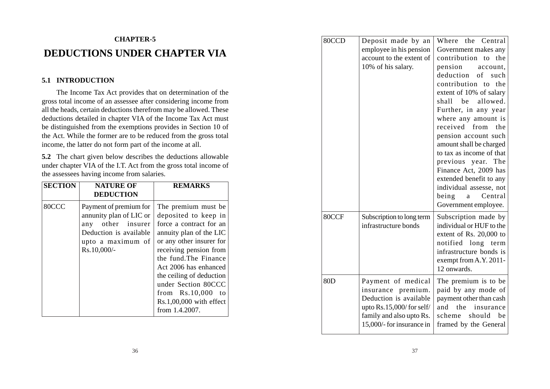# **CHAPTER-5 DEDUCTIONS UNDER CHAPTER VIA**

# **5.1 INTRODUCTION**

The Income Tax Act provides that on determination of the gross total income of an assessee after considering income from all the heads, certain deductions therefrom may be allowed. These deductions detailed in chapter VIA of the Income Tax Act must be distinguished from the exemptions provides in Section 10 of the Act. While the former are to be reduced from the gross total income, the latter do not form part of the income at all.

**5.2** The chart given below describes the deductions allowable under chapter VIA of the I.T. Act from the gross total income of the assessees having income from salaries.

| <b>SECTION</b> | <b>NATURE OF</b><br><b>DEDUCTION</b>                                                                                                 | <b>REMARKS</b>                                                                                                                                                                                                                                                                                                                       |
|----------------|--------------------------------------------------------------------------------------------------------------------------------------|--------------------------------------------------------------------------------------------------------------------------------------------------------------------------------------------------------------------------------------------------------------------------------------------------------------------------------------|
| 80CCC          | Payment of premium for<br>annunity plan of LIC or<br>any other insurer<br>Deduction is available<br>upto a maximum of<br>Rs.10,000/- | The premium must be.<br>deposited to keep in<br>force a contract for an<br>annuity plan of the LIC<br>or any other insurer for<br>receiving pension from<br>the fund. The Finance<br>Act 2006 has enhanced<br>the ceiling of deduction<br>under Section 80CCC<br>from Rs.10,000<br>to<br>$Rs.1,00,000$ with effect<br>from 1.4.2007. |

| 80CCD           | Deposit made by an<br>employee in his pension<br>account to the extent of<br>10% of his salary.                                                            | Where the Central<br>Government makes any<br>contribution to<br>the<br>pension<br>account,<br>deduction<br>of<br>such<br>contribution to<br>the<br>extent of 10% of salary<br>allowed.<br>shall<br>be<br>Further, in any year<br>where any amount is<br>received<br>from<br>the<br>pension account such<br>amount shall be charged<br>to tax as income of that<br>previous year. The<br>Finance Act, 2009 has<br>extended benefit to any<br>individual assesse, not<br>Central<br>being<br>a<br>Government employee. |
|-----------------|------------------------------------------------------------------------------------------------------------------------------------------------------------|----------------------------------------------------------------------------------------------------------------------------------------------------------------------------------------------------------------------------------------------------------------------------------------------------------------------------------------------------------------------------------------------------------------------------------------------------------------------------------------------------------------------|
| 80CCF           | Subscription to long term<br>infrastructure bonds                                                                                                          | Subscription made by<br>individual or HUF to the<br>extent of Rs. 20,000 to<br>notified long<br>term<br>infrastructure bonds is<br>exempt from A.Y. 2011-<br>12 onwards.                                                                                                                                                                                                                                                                                                                                             |
| 80 <sub>D</sub> | Payment of medical<br>insurance premium.<br>Deduction is available<br>upto $Rs.15,000/$ for self/<br>family and also upto Rs.<br>15,000/- for insurance in | The premium is to be<br>paid by any mode of<br>payment other than cash<br>the<br>and<br>insurance<br>should<br>scheme<br>be<br>framed by the General                                                                                                                                                                                                                                                                                                                                                                 |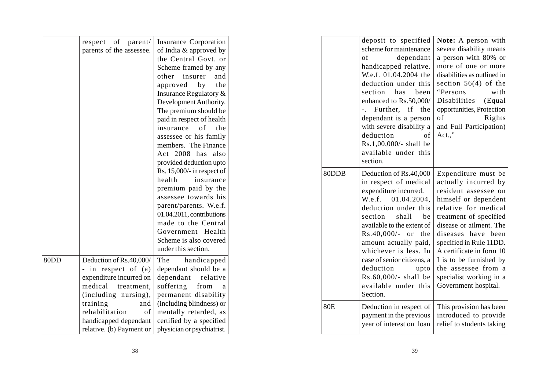|      | respect of parent/               | Insurance Corporation         |            | deposit to specified          | Note: A person with         |
|------|----------------------------------|-------------------------------|------------|-------------------------------|-----------------------------|
|      | parents of the assessee.         | of India & approved by        |            | scheme for maintenance        | severe disability means     |
|      |                                  | the Central Govt. or          |            | dependant<br>of               | a person with 80% or        |
|      |                                  | Scheme framed by any          |            | handicapped relative.         | more of one or more         |
|      |                                  | other insurer<br>and          |            | W.e.f. 01.04.2004 the         | disabilities as outlined in |
|      |                                  | approved<br>by<br>the         |            | deduction under this          | section $56(4)$ of the      |
|      |                                  | Insurance Regulatory &        |            | section<br>has<br>been        | "Persons<br>with            |
|      |                                  | Development Authority.        |            | enhanced to Rs.50,000/        | Disabilities<br>(Equal      |
|      |                                  | The premium should be         |            | -. Further, if the            | opportunities, Protection   |
|      |                                  | paid in respect of health     |            | dependant is a person $\vert$ | of<br><b>Rights</b>         |
|      |                                  | insurance of the              |            | with severe disability a      | and Full Participation)     |
|      |                                  | assessee or his family        |            | deduction<br>of               | $Act.$ ."                   |
|      |                                  | members. The Finance          |            | Rs.1,00,000/- shall be        |                             |
|      |                                  | Act 2008 has also             |            | available under this          |                             |
|      |                                  | provided deduction upto       |            | section.                      |                             |
|      |                                  | Rs. $15,000/$ - in respect of | 80DDB      | Deduction of Rs.40,000        | Expenditure must be         |
|      |                                  | health<br>insurance           |            | in respect of medical         | actually incurred by        |
|      |                                  | premium paid by the           |            | expenditure incurred.         | resident assessee on        |
|      |                                  | assessee towards his          |            | W.e.f. $01.04.2004$ ,         | himself or dependent        |
|      |                                  | parent/parents. W.e.f.        |            | deduction under this          | relative for medical        |
|      |                                  | 01.04.2011, contributions     |            | section<br>shall<br>be        | treatment of specified      |
|      |                                  | made to the Central           |            | available to the extent of    | disease or ailment. The     |
|      |                                  | Government Health             |            | $Rs.40,000/-$ or the          | diseases have been          |
|      |                                  | Scheme is also covered        |            | amount actually paid,         | specified in Rule 11DD.     |
|      |                                  | under this section.           |            | whichever is less. In         | A certificate in form 10    |
| 80DD | Deduction of Rs.40,000/          | handicapped<br>The            |            | case of senior citizens, a    | I is to be furnished by     |
|      | - in respect of $(a)$            | dependant should be a         |            | deduction<br>upto             | the assessee from a         |
|      | expenditure incurred on          | dependant relative            |            | $Rs.60,000/-$ shall be        | specialist working in a     |
|      | medical treatment,               | from<br>suffering<br>a a      |            | available under this          | Government hospital.        |
|      | (including nursing),             | permanent disability          |            | Section.                      |                             |
|      | training<br>and                  | (including blindness) or      | <b>80E</b> | Deduction in respect of       | This provision has been     |
|      | rehabilitation<br>of             | mentally retarded, as         |            | payment in the previous       | introduced to provide       |
|      | handicapped dependant            | certified by a specified      |            | year of interest on loan      | relief to students taking   |
|      | relative. (b) Payment or $\vert$ | physician or psychiatrist.    |            |                               |                             |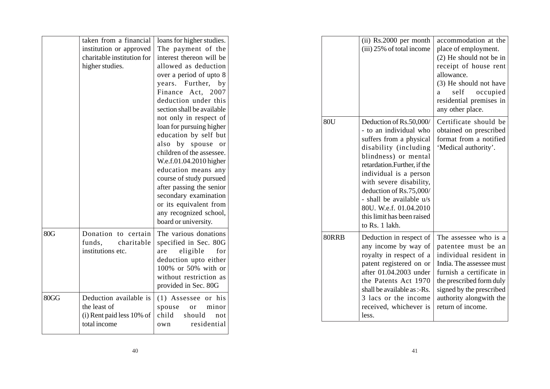|      | taken from a financial<br>institution or approved<br>charitable institution for<br>higher studies. | loans for higher studies.<br>The payment of the<br>interest thereon will be<br>allowed as deduction<br>over a period of upto 8<br>years.<br>Further,<br>by<br>Finance<br>Act,<br>2007<br>deduction under this<br>section shall be available<br>not only in respect of<br>loan for pursuing higher<br>education by self but<br>by spouse or<br>also<br>children of the assessee.<br>W.e.f.01.04.2010 higher<br>education means any<br>course of study pursued<br>after passing the senior<br>secondary examination<br>or its equivalent from<br>any recognized school,<br>board or university. |
|------|----------------------------------------------------------------------------------------------------|-----------------------------------------------------------------------------------------------------------------------------------------------------------------------------------------------------------------------------------------------------------------------------------------------------------------------------------------------------------------------------------------------------------------------------------------------------------------------------------------------------------------------------------------------------------------------------------------------|
| 80G  | Donation to certain<br>funds,<br>charitable<br>institutions etc.                                   | The various donations<br>specified in Sec. 80G<br>eligible<br>for<br>are<br>deduction upto either<br>100% or 50% with or<br>without restriction as<br>provided in Sec. 80G                                                                                                                                                                                                                                                                                                                                                                                                                    |
| 80GG | Deduction available is<br>the least of<br>(i) Rent paid less 10% of<br>total income                | $(1)$ Assessee or his<br>spouse<br>minor<br><sub>or</sub><br>child<br>should<br>not<br>residential<br>own                                                                                                                                                                                                                                                                                                                                                                                                                                                                                     |

|       | (ii) Rs.2000 per month<br>(iii) 25% of total income                                                                                                                                                                                                                                                                                                 | accommodation at the<br>place of employment.<br>(2) He should not be in<br>receipt of house rent<br>allowance.<br>(3) He should not have<br>self<br>occupied<br>a<br>residential premises in<br>any other place.                       |
|-------|-----------------------------------------------------------------------------------------------------------------------------------------------------------------------------------------------------------------------------------------------------------------------------------------------------------------------------------------------------|----------------------------------------------------------------------------------------------------------------------------------------------------------------------------------------------------------------------------------------|
| 80U   | Deduction of Rs.50,000/<br>- to an individual who<br>suffers from a physical<br>disability (including<br>blindness) or mental<br>retardation. Further, if the<br>individual is a person<br>with severe disability,<br>deduction of Rs.75,000/<br>- shall be available u/s<br>80U. W.e.f. 01.04.2010<br>this limit has been raised<br>to Rs. 1 lakh. | Certificate should be<br>obtained on prescribed<br>format from a notified<br>'Medical authority'.                                                                                                                                      |
| 80RRB | Deduction in respect of<br>any income by way of<br>royalty in respect of a<br>patent registered on or<br>after 01.04.2003 under<br>the Patents Act 1970<br>shall be available as $-$ Rs.<br>3 lacs or the income<br>received, whichever is<br>less.                                                                                                 | The assessee who is a<br>patentee must be an<br>individual resident in<br>India. The assessee must<br>furnish a certificate in<br>the prescribed form duly<br>signed by the prescribed<br>authority alongwith the<br>return of income. |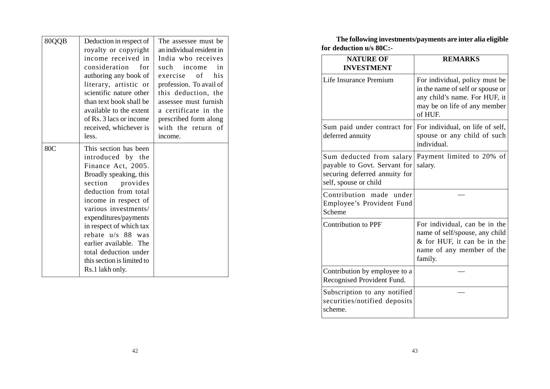| 80QQB | Deduction in respect of<br>royalty or copyright<br>income received in<br>consideration for<br>authoring any book of<br>literary, artistic or<br>scientific nature other<br>than text book shall be<br>available to the extent<br>of Rs. 3 lacs or income<br>received, whichever is<br>less.                                                                            | The assessee must be.<br>an individual resident in<br>India who receives<br>such income<br>in<br>exercise of his<br>profession. To avail of<br>this deduction, the<br>assessee must furnish<br>a certificate in the<br>prescribed form along<br>with the return of<br>income. |
|-------|------------------------------------------------------------------------------------------------------------------------------------------------------------------------------------------------------------------------------------------------------------------------------------------------------------------------------------------------------------------------|-------------------------------------------------------------------------------------------------------------------------------------------------------------------------------------------------------------------------------------------------------------------------------|
| 80C   | This section has been<br>introduced by the<br>Finance Act, 2005.<br>Broadly speaking, this<br>section<br>provides<br>deduction from total<br>income in respect of<br>various investments/<br>expenditures/payments<br>in respect of which tax<br>rebate u/s 88 was<br>earlier available. The<br>total deduction under<br>this section is limited to<br>Rs.1 lakh only. |                                                                                                                                                                                                                                                                               |

**The following investments/payments are inter alia eligible for deduction u/s 80C:-**

| <b>NATURE OF</b><br><b>INVESTMENT</b>                                                                              | <b>REMARKS</b>                                                                                                                                 |
|--------------------------------------------------------------------------------------------------------------------|------------------------------------------------------------------------------------------------------------------------------------------------|
| Life Insurance Premium                                                                                             | For individual, policy must be<br>in the name of self or spouse or<br>any child's name. For HUF, it<br>may be on life of any member<br>of HUF. |
| Sum paid under contract for<br>deferred annuity                                                                    | For individual, on life of self,<br>spouse or any child of such<br>individual.                                                                 |
| Sum deducted from salary<br>payable to Govt. Servant for<br>securing deferred annuity for<br>self, spouse or child | Payment limited to 20% of<br>salary.                                                                                                           |
| Contribution made<br>under<br>Employee's Provident Fund<br>Scheme                                                  |                                                                                                                                                |
| <b>Contribution to PPF</b>                                                                                         | For individual, can be in the<br>name of self/spouse, any child<br>& for HUF, it can be in the<br>name of any member of the<br>family.         |
| Contribution by employee to a<br>Recognised Provident Fund.                                                        |                                                                                                                                                |
| Subscription to any notified<br>securities/notified deposits<br>scheme.                                            |                                                                                                                                                |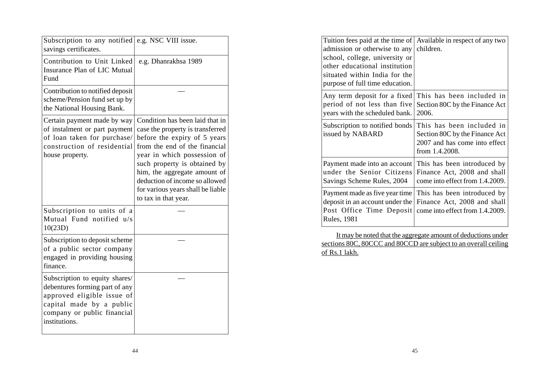| Subscription to any notified<br>savings certificates.                                                                                                                      | e.g. NSC VIII issue.                                                                                                                                                                                                                                                                                                               |
|----------------------------------------------------------------------------------------------------------------------------------------------------------------------------|------------------------------------------------------------------------------------------------------------------------------------------------------------------------------------------------------------------------------------------------------------------------------------------------------------------------------------|
| Contribution to Unit Linked<br>Insurance Plan of LIC Mutual<br>Fund                                                                                                        | e.g. Dhanrakhsa 1989                                                                                                                                                                                                                                                                                                               |
| Contribution to notified deposit<br>scheme/Pension fund set up by<br>the National Housing Bank.                                                                            |                                                                                                                                                                                                                                                                                                                                    |
| Certain payment made by way<br>of instalment or part payment<br>of loan taken for purchase/<br>construction of residential<br>house property.                              | Condition has been laid that in<br>case the property is transferred<br>before the expiry of 5 years<br>from the end of the financial<br>year in which possession of<br>such property is obtained by<br>him, the aggregate amount of<br>deduction of income so allowed<br>for various years shall be liable<br>to tax in that year. |
| Subscription to units of a<br>Mutual Fund notified u/s<br>10(23D)                                                                                                          |                                                                                                                                                                                                                                                                                                                                    |
| Subscription to deposit scheme<br>of a public sector company<br>engaged in providing housing<br>finance.                                                                   |                                                                                                                                                                                                                                                                                                                                    |
| Subscription to equity shares/<br>debentures forming part of any<br>approved eligible issue of<br>capital made by a public<br>company or public financial<br>institutions. |                                                                                                                                                                                                                                                                                                                                    |

| Tuition fees paid at the time of<br>admission or otherwise to any<br>school, college, university or<br>other educational institution<br>situated within India for the<br>purpose of full time education. | Available in respect of any two<br>children.                                                                   |
|----------------------------------------------------------------------------------------------------------------------------------------------------------------------------------------------------------|----------------------------------------------------------------------------------------------------------------|
| Any term deposit for a fixed<br>period of not less than five<br>years with the scheduled bank.                                                                                                           | This has been included in<br>Section 80C by the Finance Act<br>2006.                                           |
| Subscription to notified bonds<br>issued by NABARD                                                                                                                                                       | This has been included in<br>Section 80C by the Finance Act<br>2007 and has come into effect<br>from 1.4.2008. |
| Payment made into an account<br>under the Senior Citizens<br>Savings Scheme Rules, 2004                                                                                                                  | This has been introduced by<br>Finance Act, 2008 and shall<br>come into effect from 1.4.2009.                  |
| Payment made as five year time<br>deposit in an account under the<br>Post Office Time Deposit<br>Rules, 1981                                                                                             | This has been introduced by<br>Finance Act, 2008 and shall<br>come into effect from 1.4.2009.                  |

It may be noted that the aggregate amount of deductions under sections 80C, 80CCC and 80CCD are subject to an overall ceiling of Rs.1 lakh.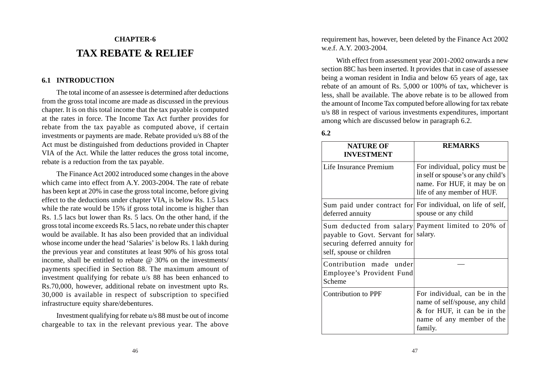# **CHAPTER-6 TAX REBATE & RELIEF**

#### **6.1 INTRODUCTION**

The total income of an assessee is determined after deductions from the gross total income are made as discussed in the previous chapter. It is on this total income that the tax payable is computed at the rates in force. The Income Tax Act further provides for rebate from the tax payable as computed above, if certain investments or payments are made. Rebate provided u/s 88 of the Act must be distinguished from deductions provided in Chapter VIA of the Act. While the latter reduces the gross total income, rebate is a reduction from the tax payable.

The Finance Act 2002 introduced some changes in the above which came into effect from A.Y. 2003-2004. The rate of rebate has been kept at 20% in case the gross total income, before giving effect to the deductions under chapter VIA, is below Rs. 1.5 lacs while the rate would be 15% if gross total income is higher than Rs. 1.5 lacs but lower than Rs. 5 lacs. On the other hand, if the gross total income exceeds Rs. 5 lacs, no rebate under this chapter would be available. It has also been provided that an individual whose income under the head 'Salaries' is below Rs. 1 lakh during the previous year and constitutes at least 90% of his gross total income, shall be entitled to rebate  $\omega$  30% on the investments/ payments specified in Section 88. The maximum amount of investment qualifying for rebate u/s 88 has been enhanced to Rs.70,000, however, additional rebate on investment upto Rs. 30,000 is available in respect of subscription to specified infrastructure equity share/debentures.

Investment qualifying for rebate u/s 88 must be out of income chargeable to tax in the relevant previous year. The above requirement has, however, been deleted by the Finance Act 2002 w.e.f. A.Y. 2003-2004.

With effect from assessment year 2001-2002 onwards a new section 88C has been inserted. It provides that in case of assessee being a woman resident in India and below 65 years of age, tax rebate of an amount of Rs. 5,000 or 100% of tax, whichever is less, shall be available. The above rebate is to be allowed from the amount of Income Tax computed before allowing for tax rebate u/s 88 in respect of various investments expenditures, important among which are discussed below in paragraph 6.2.

#### **6.2**

| <b>NATURE OF</b><br><b>INVESTMENT</b>                                                             | <b>REMARKS</b>                                                                                                                         |
|---------------------------------------------------------------------------------------------------|----------------------------------------------------------------------------------------------------------------------------------------|
| Life Insurance Premium                                                                            | For individual, policy must be<br>in self or spouse's or any child's<br>name. For HUF, it may be on<br>life of any member of HUF.      |
| deferred annuity                                                                                  | Sum paid under contract for For individual, on life of self,<br>spouse or any child                                                    |
| payable to Govt. Servant for salary.<br>securing deferred annuity for<br>self, spouse or children | Sum deducted from salary Payment limited to 20% of                                                                                     |
| Contribution made under<br>Employee's Provident Fund<br>Scheme                                    |                                                                                                                                        |
| Contribution to PPF                                                                               | For individual, can be in the<br>name of self/spouse, any child<br>& for HUF, it can be in the<br>name of any member of the<br>family. |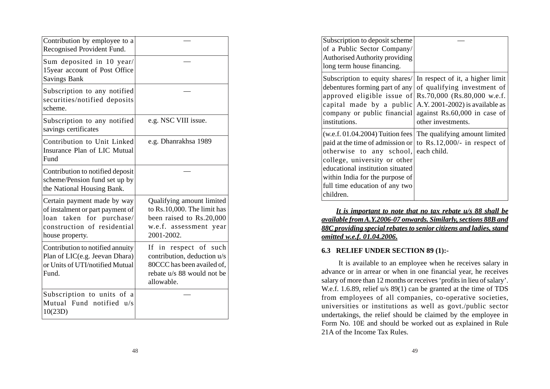| Contribution by employee to a<br>Recognised Provident Fund.                                                                                         |                                                                                                                                |
|-----------------------------------------------------------------------------------------------------------------------------------------------------|--------------------------------------------------------------------------------------------------------------------------------|
| Sum deposited in 10 year/<br>15year account of Post Office<br><b>Savings Bank</b>                                                                   |                                                                                                                                |
| Subscription to any notified<br>securities/notified deposits<br>scheme.                                                                             |                                                                                                                                |
| Subscription to any notified<br>savings certificates                                                                                                | e.g. NSC VIII issue.                                                                                                           |
| Contribution to Unit Linked<br>Insurance Plan of LIC Mutual<br>Fund                                                                                 | e.g. Dhanrakhsa 1989                                                                                                           |
| Contribution to notified deposit<br>scheme/Pension fund set up by<br>the National Housing Bank.                                                     |                                                                                                                                |
| Certain payment made by way<br>of instalment or part payment of<br>for purchase/<br>taken<br>loan<br>construction of residential<br>house property. | Qualifying amount limited<br>to Rs.10,000. The limit has<br>been raised to Rs.20,000<br>w.e.f. assessment year<br>2001-2002.   |
| Contribution to notified annuity<br>Plan of LIC(e.g. Jeevan Dhara)<br>or Units of UTI/notified Mutual<br>Fund.                                      | If in respect of such<br>contribution, deduction u/s<br>80CCC has been availed of,<br>rebate u/s 88 would not be<br>allowable. |
| Subscription to units of a<br>Mutual Fund notified u/s<br>10(23D)                                                                                   |                                                                                                                                |

| Subscription to deposit scheme<br>of a Public Sector Company/<br>Authorised Authority providing<br>long term house financing.                                                              |                                                                                                                                                                                                                                                                                                     |
|--------------------------------------------------------------------------------------------------------------------------------------------------------------------------------------------|-----------------------------------------------------------------------------------------------------------------------------------------------------------------------------------------------------------------------------------------------------------------------------------------------------|
| debentures forming part of any<br>company or public financial<br>institutions.                                                                                                             | Subscription to equity shares/ In respect of it, a higher limit<br>of qualifying investment of<br>approved eligible issue of $\left  \text{Rs.70,000} \right $ (Rs.80,000 w.e.f.<br>capital made by a public $A.Y. 2001-2002$ is available as<br>against Rs.60,000 in case of<br>other investments. |
| otherwise to any school, each child.<br>college, university or other<br>educational institution situated<br>within India for the purpose of<br>full time education of any two<br>children. | $(w.e.f. 01.04.2004)$ Tuition fees The qualifying amount limited<br>paid at the time of admission or to Rs.12,000/- in respect of                                                                                                                                                                   |

*It is important to note that no tax rebate u/s 88 shall be available from A.Y.2006-07 onwards. Similarly, sections 88B and 88C providing special rebates to senior citizens and ladies, stand omitted w.e.f. 01.04.2006***.**

# **6.3 RELIEF UNDER SECTION 89 (1):-**

 It is available to an employee when he receives salary in advance or in arrear or when in one financial year, he receives salary of more than 12 months or receives 'profits in lieu of salary'. W.e.f. 1.6.89, relief u/s 89(1) can be granted at the time of TDS from employees of all companies, co-operative societies, universities or institutions as well as govt./public sector undertakings, the relief should be claimed by the employee in Form No. 10E and should be worked out as explained in Rule 21A of the Income Tax Rules.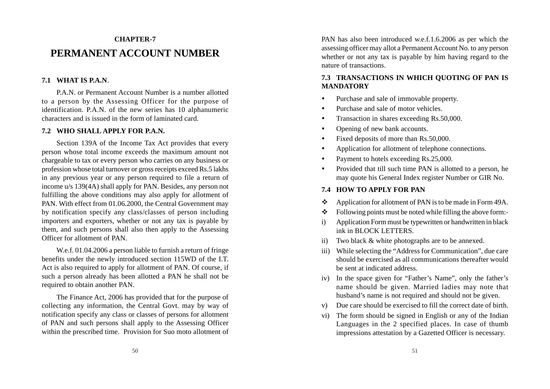# **CHAPTER-7 PERMANENT ACCOUNT NUMBER**

### **7.1 WHAT IS P.A.N**.

P.A.N. or Permanent Account Number is a number allotted to a person by the Assessing Officer for the purpose of identification. P.A.N. of the new series has 10 alphanumeric characters and is issued in the form of laminated card.

#### **7.2 WHO SHALL APPLY FOR P.A.N.**

Section 139A of the Income Tax Act provides that every person whose total income exceeds the maximum amount not chargeable to tax or every person who carries on any business or profession whose total turnover or gross receipts exceed Rs.5 lakhs in any previous year or any person required to file a return of income u/s 139(4A) shall apply for PAN. Besides, any person not fulfilling the above conditions may also apply for allotment of PAN. With effect from 01.06.2000, the Central Government may by notification specify any class/classes of person including importers and exporters, whether or not any tax is payable by them, and such persons shall also then apply to the Assessing Officer for allotment of PAN.

W.e.f. 01.04.2006 a person liable to furnish a return of fringe benefits under the newly introduced section 115WD of the I.T. Act is also required to apply for allotment of PAN. Of course, if such a person already has been allotted a PAN he shall not be required to obtain another PAN.

The Finance Act, 2006 has provided that for the purpose of collecting any information, the Central Govt. may by way of notification specify any class or classes of persons for allotment of PAN and such persons shall apply to the Assessing Officer within the prescribed time. Provision for Suo moto allotment of

PAN has also been introduced w.e.f.1.6.2006 as per which the assessing officer may allot a Permanent Account No. to any person whether or not any tax is payable by him having regard to the nature of transactions.

# **7.3 TRANSACTIONS IN WHICH QUOTING OF PAN IS MANDATORY**

- e Purchase and sale of immovable property.
- e Purchase and sale of motor vehicles.
- e Transaction in shares exceeding Rs.50,000.
- e Opening of new bank accounts.
- $\bullet$ Fixed deposits of more than Rs.50,000.
- $\bullet$ Application for allotment of telephone connections.
- 0 Payment to hotels exceeding Rs.25,000.
- 0 Provided that till such time PAN is allotted to a person, he may quote his General Index register Number or GIR No.

# **7.4 HOW TO APPLY FOR PAN**

- \* Application for allotment of PAN is to be made in Form 49A.
- \* Following points must be noted while filling the above form:-
- i) Application Form must be typewritten or handwritten in black ink in BLOCK LETTERS.
- Two black  $&$  white photographs are to be annexed.
- iii) While selecting the "Address for Communication", due care should be exercised as all communications thereafter would be sent at indicated address.
- iv) In the space given for "Father's Name", only the father's name should be given. Married ladies may note that husband's name is not required and should not be given.
- v) Due care should be exercised to fill the correct date of birth.
- vi) The form should be signed in English or any of the Indian Languages in the 2 specified places. In case of thumb impressions attestation by a Gazetted Officer is necessary.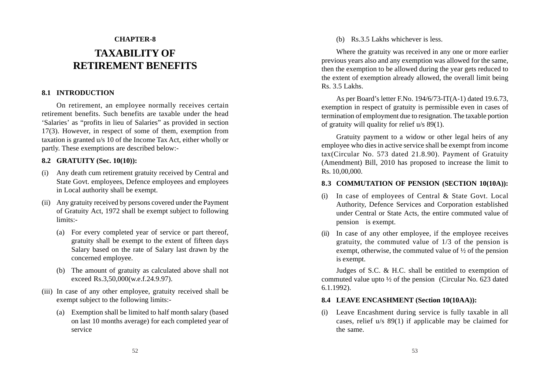# **CHAPTER-8 TAXABILITY OF RETIREMENT BENEFITS**

# **8.1 INTRODUCTION**

On retirement, an employee normally receives certain retirement benefits. Such benefits are taxable under the head 'Salaries' as "profits in lieu of Salaries" as provided in section 17(3). However, in respect of some of them, exemption from taxation is granted u/s 10 of the Income Tax Act, either wholly or partly. These exemptions are described below:-

# **8.2 GRATUITY (Sec. 10(10)):**

- (i) Any death cum retirement gratuity received by Central and State Govt. employees, Defence employees and employees in Local authority shall be exempt.
- (ii) Any gratuity received by persons covered under the Payment of Gratuity Act, 1972 shall be exempt subject to following limits:-
	- (a) For every completed year of service or part thereof, gratuity shall be exempt to the extent of fifteen days Salary based on the rate of Salary last drawn by the concerned employee.
	- (b) The amount of gratuity as calculated above shall not exceed Rs.3,50,000(w.e.f.24.9.97).
- (iii) In case of any other employee, gratuity received shall be exempt subject to the following limits:-
	- (a) Exemption shall be limited to half month salary (based on last 10 months average) for each completed year of service

(b) Rs.3.5 Lakhs whichever is less.

Where the gratuity was received in any one or more earlier previous years also and any exemption was allowed for the same, then the exemption to be allowed during the year gets reduced to the extent of exemption already allowed, the overall limit being Rs. 3.5 Lakhs.

As per Board's letter F.No. 194/6/73-IT(A-1) dated 19.6.73, exemption in respect of gratuity is permissible even in cases of termination of employment due to resignation. The taxable portion of gratuity will quality for relief u/s 89(1).

Gratuity payment to a widow or other legal heirs of any employee who dies in active service shall be exempt from income tax(Circular No. 573 dated 21.8.90). Payment of Gratuity (Amendment) Bill, 2010 has proposed to increase the limit to Rs. 10,00,000.

### **8.3 COMMUTATION OF PENSION (SECTION 10(10A)):**

- (i) In case of employees of Central & State Govt. Local Authority, Defence Services and Corporation established under Central or State Acts, the entire commuted value of pension is exempt.
- (ii) In case of any other employee, if the employee receives gratuity, the commuted value of 1/3 of the pension is exempt, otherwise, the commuted value of ½ of the pension is exempt.

Judges of S.C. & H.C. shall be entitled to exemption of commuted value upto ½ of the pension (Circular No. 623 dated 6.1.1992).

### **8.4 LEAVE ENCASHMENT (Section 10(10AA)):**

(i) Leave Encashment during service is fully taxable in all cases, relief u/s 89(1) if applicable may be claimed for the same.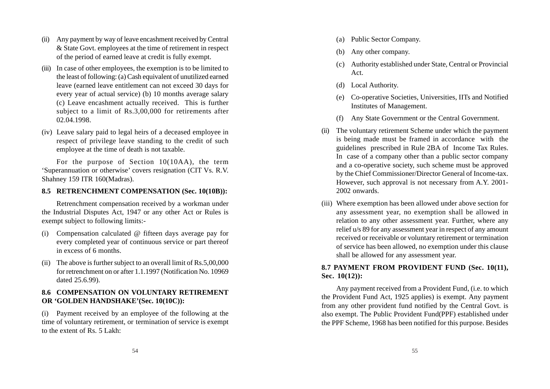- (ii) Any payment by way of leave encashment received by Central & State Govt. employees at the time of retirement in respect of the period of earned leave at credit is fully exempt.
- (iii) In case of other employees, the exemption is to be limited to the least of following: (a) Cash equivalent of unutilized earned leave (earned leave entitlement can not exceed 30 days for every year of actual service) (b) 10 months average salary (c) Leave encashment actually received. This is further subject to a limit of Rs.3,00,000 for retirements after 02.04.1998.
- (iv) Leave salary paid to legal heirs of a deceased employee in respect of privilege leave standing to the credit of such employee at the time of death is not taxable.

For the purpose of Section 10(10AA), the term 'Superannuation or otherwise' covers resignation (CIT Vs. R.V. Shahney 159 ITR 160(Madras).

### **8.5 RETRENCHMENT COMPENSATION (Sec. 10(10B)):**

Retrenchment compensation received by a workman under the Industrial Disputes Act, 1947 or any other Act or Rules is exempt subject to following limits:-

- (i) Compensation calculated @ fifteen days average pay for every completed year of continuous service or part thereof in excess of 6 months.
- (ii) The above is further subject to an overall limit of Rs.5,00,000 for retrenchment on or after 1.1.1997 (Notification No. 10969 dated 25.6.99).

# **8.6 COMPENSATION ON VOLUNTARY RETIREMENT OR 'GOLDEN HANDSHAKE'(Sec. 10(10C)):**

(i) Payment received by an employee of the following at the time of voluntary retirement, or termination of service is exempt to the extent of Rs. 5 Lakh:

- (a) Public Sector Company.
- (b) Any other company.
- (c) Authority established under State, Central or Provincial Act.
- (d) Local Authority.
- (e) Co-operative Societies, Universities, IITs and Notified Institutes of Management.
- (f) Any State Government or the Central Government.
- (ii) The voluntary retirement Scheme under which the payment is being made must be framed in accordance with the guidelines prescribed in Rule 2BA of Income Tax Rules. In case of a company other than a public sector company and a co-operative society, such scheme must be approved by the Chief Commissioner/Director General of Income-tax. However, such approval is not necessary from A.Y. 2001- 2002 onwards.
- (iii) Where exemption has been allowed under above section for any assessment year, no exemption shall be allowed in relation to any other assessment year. Further, where any relief u/s 89 for any assessment year in respect of any amount received or receivable or voluntary retirement or termination of service has been allowed, no exemption under this clause shall be allowed for any assessment year.

# **8.7 PAYMENT FROM PROVIDENT FUND (Sec. 10(11), Sec. 10(12)):**

Any payment received from a Provident Fund, (i.e. to which the Provident Fund Act, 1925 applies) is exempt. Any payment from any other provident fund notified by the Central Govt. is also exempt. The Public Provident Fund(PPF) established under the PPF Scheme, 1968 has been notified for this purpose. Besides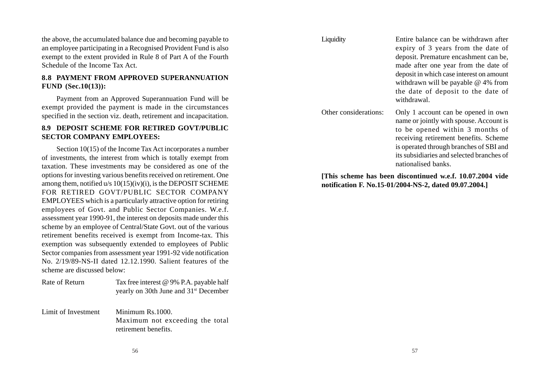the above, the accumulated balance due and becoming payable to an employee participating in a Recognised Provident Fund is also exempt to the extent provided in Rule 8 of Part A of the Fourth Schedule of the Income Tax Act.

# **8.8 PAYMENT FROM APPROVED SUPERANNUATION FUND (Sec.10(13)):**

Payment from an Approved Superannuation Fund will be exempt provided the payment is made in the circumstances specified in the section viz. death, retirement and incapacitation.

# **8.9 DEPOSIT SCHEME FOR RETIRED GOVT/PUBLIC SECTOR COMPANY EMPLOYEES:**

Section 10(15) of the Income Tax Act incorporates a number of investments, the interest from which is totally exempt from taxation. These investments may be considered as one of the options for investing various benefits received on retirement. One among them, notified u/s 10(15)(iv)(i), is the DEPOSIT SCHEME FOR RETIRED GOVT/PUBLIC SECTOR COMPANY EMPLOYEES which is a particularly attractive option for retiring employees of Govt. and Public Sector Companies. W.e.f. assessment year 1990-91, the interest on deposits made under this scheme by an employee of Central/State Govt. out of the various retirement benefits received is exempt from Income-tax. This exemption was subsequently extended to employees of Public Sector companies from assessment year 1991-92 vide notification No. 2/19/89-NS-II dated 12.12.1990. Salient features of the scheme are discussed below:

| Rate of Return | Tax free interest @ 9% P.A. payable half          |
|----------------|---------------------------------------------------|
|                | yearly on 30th June and 31 <sup>st</sup> December |

Limit of Investment Minimum Rs. 1000. Maximum not exceeding the total retirement benefits.

| Liquidity             | Entire balance can be withdrawn after<br>expiry of 3 years from the date of<br>deposit. Premature encashment can be,<br>made after one year from the date of<br>deposit in which case interest on amount<br>withdrawn will be payable $@$ 4% from<br>the date of deposit to the date of<br>withdrawal. |
|-----------------------|--------------------------------------------------------------------------------------------------------------------------------------------------------------------------------------------------------------------------------------------------------------------------------------------------------|
| Other considerations: | Only 1 account can be opened in own<br>name or jointly with spouse. Account is<br>to be opened within 3 months of<br>receiving retirement benefits. Scheme<br>is operated through branches of SBI and<br>its subsidiaries and selected branches of<br>nationalised banks.                              |
|                       | [This scheme has been discontinued w.e.f. 10.07.2004 vide                                                                                                                                                                                                                                              |

**[This scheme has been discontinued w.e.f. 10.07.2004 vide notification F. No.15-01/2004-NS-2, dated 09.07.2004.]**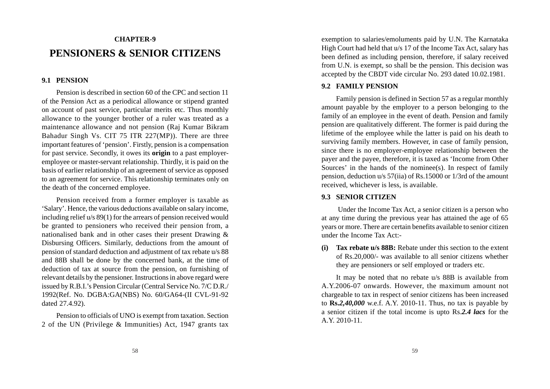# **CHAPTER-9 PENSIONERS & SENIOR CITIZENS**

#### **9.1 PENSION**

Pension is described in section 60 of the CPC and section 11 of the Pension Act as a periodical allowance or stipend granted on account of past service, particular merits etc. Thus monthly allowance to the younger brother of a ruler was treated as a maintenance allowance and not pension (Raj Kumar Bikram Bahadur Singh Vs. CIT 75 ITR 227(MP)). There are three important features of 'pension'. Firstly, pension is a compensation for past service. Secondly, it owes its **origin** to a past employeremployee or master-servant relationship. Thirdly, it is paid on the basis of earlier relationship of an agreement of service as opposed to an agreement for service. This relationship terminates only on the death of the concerned employee.

Pension received from a former employer is taxable as 'Salary'. Hence, the various deductions available on salary income, including relief u/s 89(1) for the arrears of pension received would be granted to pensioners who received their pension from, a nationalised bank and in other cases their present Drawing & Disbursing Officers. Similarly, deductions from the amount of pension of standard deduction and adjustment of tax rebate u/s 88 and 88B shall be done by the concerned bank, at the time of deduction of tax at source from the pension, on furnishing of relevant details by the pensioner. Instructions in above regard were issued by R.B.I.'s Pension Circular (Central Service No. 7/C D.R./ 1992(Ref. No. DGBA:GA(NBS) No. 60/GA64-(II CVL-91-92 dated 27.4.92).

Pension to officials of UNO is exempt from taxation. Section 2 of the UN (Privilege & Immunities) Act, 1947 grants tax

exemption to salaries/emoluments paid by U.N. The Karnataka High Court had held that u/s 17 of the Income Tax Act, salary has been defined as including pension, therefore, if salary received from U.N. is exempt, so shall be the pension. This decision was accepted by the CBDT vide circular No. 293 dated 10.02.1981.

#### **9.2 FAMILY PENSION**

Family pension is defined in Section 57 as a regular monthly amount payable by the employer to a person belonging to the family of an employee in the event of death. Pension and family pension are qualitatively different. The former is paid during the lifetime of the employee while the latter is paid on his death to surviving family members. However, in case of family pension, since there is no employer-employee relationship between the payer and the payee, therefore, it is taxed as 'Income from Other Sources' in the hands of the nominee(s). In respect of family pension, deduction u/s 57(iia) of Rs.15000 or 1/3rd of the amount received, whichever is less, is available.

#### **9.3 SENIOR CITIZEN**

 Under the Income Tax Act, a senior citizen is a person who at any time during the previous year has attained the age of 65 years or more. There are certain benefits available to senior citizen under the Income Tax Act:-

**(i) Tax rebate u/s 88B:** Rebate under this section to the extent of Rs.20,000/- was available to all senior citizens whether they are pensioners or self employed or traders etc.

It may be noted that no rebate u/s 88B is available from A.Y.2006-07 onwards. However, the maximum amount not chargeable to tax in respect of senior citizens has been increased to **Rs.***2,40,000* w.e.f. A.Y. 2010-11. Thus, no tax is payable by a senior citizen if the total income is upto Rs.*2.4 lacs* for the A.Y. 2010-11.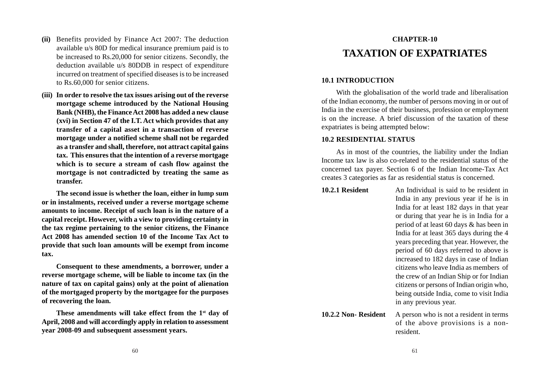- **(ii)** Benefits provided by Finance Act 2007: The deduction available u/s 80D for medical insurance premium paid is to be increased to Rs.20,000 for senior citizens. Secondly, the deduction available u/s 80DDB in respect of expenditure incurred on treatment of specified diseases is to be increased to Rs.60,000 for senior citizens.
- **(iii) In order to resolve the tax issues arising out of the reverse mortgage scheme introduced by the National Housing Bank (NHB), the Finance Act 2008 has added a new clause (xvi) in Section 47 of the I.T. Act which provides that any transfer of a capital asset in a transaction of reverse mortgage under a notified scheme shall not be regarded as a transfer and shall, therefore, not attract capital gains tax. This ensures that the intention of a reverse mortgage which is to secure a stream of cash flow against the mortgage is not contradicted by treating the same as transfer.**

**The second issue is whether the loan, either in lump sum or in instalments, received under a reverse mortgage scheme amounts to income. Receipt of such loan is in the nature of a capital receipt. However, with a view to providing certainty in the tax regime pertaining to the senior citizens, the Finance Act 2008 has amended section 10 of the Income Tax Act to provide that such loan amounts will be exempt from income tax.**

**Consequent to these amendments, a borrower, under a reverse mortgage scheme, will be liable to income tax (in the nature of tax on capital gains) only at the point of alienation of the mortgaged property by the mortgagee for the purposes of recovering the loan.**

**These amendments will take effect from the 1st day of April, 2008 and will accordingly apply in relation to assessment year 2008-09 and subsequent assessment years.**

# **CHAPTER-10 TAXATION OF EXPATRIATES**

#### **10.1 INTRODUCTION**

With the globalisation of the world trade and liberalisation of the Indian economy, the number of persons moving in or out of India in the exercise of their business, profession or employment is on the increase. A brief discussion of the taxation of these expatriates is being attempted below:

#### **10.2 RESIDENTIAL STATUS**

As in most of the countries, the liability under the Indian Income tax law is also co-related to the residential status of the concerned tax payer. Section 6 of the Indian Income-Tax Act creates 3 categories as far as residential status is concerned.

**10.2.1 Resident** An Individual is said to be resident in India in any previous year if he is in India for at least 182 days in that year or during that year he is in India for a period of at least 60 days & has been in India for at least 365 days during the 4 years preceding that year. However, the period of 60 days referred to above is increased to 182 days in case of Indian citizens who leave India as members of the crew of an Indian Ship or for Indian citizens or persons of Indian origin who, being outside India, come to visit India in any previous year.

**10.2.2 Non-Resident** A person who is not a resident in terms of the above provisions is a nonresident.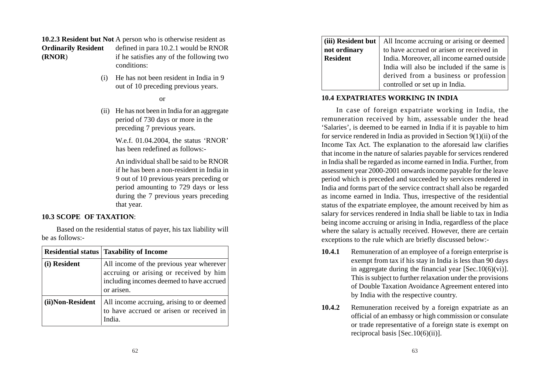**10.2.3 Resident but Not** A person who is otherwise resident as **Ordinarily Resident** defined in para 10.2.1 would be RNOR **(RNOR**) if he satisfies any of the following two conditions:

> (i) He has not been resident in India in 9 out of 10 preceding previous years.

#### or

(ii) He has not been in India for an aggregate period of 730 days or more in the preceding 7 previous years.

> W.e.f. 01.04.2004, the status 'RNOR' has been redefined as follows:-

> An individual shall be said to be RNOR if he has been a non-resident in India in 9 out of 10 previous years preceding or period amounting to 729 days or less during the 7 previous years preceding that year.

#### **10.3 SCOPE OF TAXATION**:

Based on the residential status of payer, his tax liability will be as follows:-

|                  | <b>Residential status   Taxability of Income</b>                                                                                             |
|------------------|----------------------------------------------------------------------------------------------------------------------------------------------|
| (i) Resident     | All income of the previous year wherever<br>accruing or arising or received by him<br>including incomes deemed to have accrued<br>or arisen. |
| (ii)Non-Resident | All income accruing, arising to or deemed<br>to have accrued or arisen or received in<br>India.                                              |

| (iii) Resident but   All Income accruing or arising or deemed |  |
|---------------------------------------------------------------|--|
| to have accrued or arisen or received in                      |  |
| India. Moreover, all income earned outside                    |  |
| India will also be included if the same is                    |  |
| derived from a business or profession                         |  |
| controlled or set up in India.                                |  |
|                                                               |  |

# **10.4 EXPATRIATES WORKING IN INDIA**

In case of foreign expatriate working in India, the remuneration received by him, assessable under the head 'Salaries', is deemed to be earned in India if it is payable to him for service rendered in India as provided in Section 9(1)(ii) of the Income Tax Act. The explanation to the aforesaid law clarifies that income in the nature of salaries payable for services rendered in India shall be regarded as income earned in India. Further, from assessment year 2000-2001 onwards income payable for the leave period which is preceded and succeeded by services rendered in India and forms part of the service contract shall also be regarded as income earned in India. Thus, irrespective of the residential status of the expatriate employee, the amount received by him as salary for services rendered in India shall be liable to tax in India being income accruing or arising in India, regardless of the place where the salary is actually received. However, there are certain exceptions to the rule which are briefly discussed below:-

- **10.4.1** Remuneration of an employee of a foreign enterprise is exempt from tax if his stay in India is less than 90 days in aggregate during the financial year  $[Sec.10(6)(vi)].$ This is subject to further relaxation under the provisions of Double Taxation Avoidance Agreement entered into by India with the respective country.
- **10.4.2** Remuneration received by a foreign expatriate as an official of an embassy or high commission or consulate or trade representative of a foreign state is exempt on reciprocal basis [Sec.10(6)(ii)].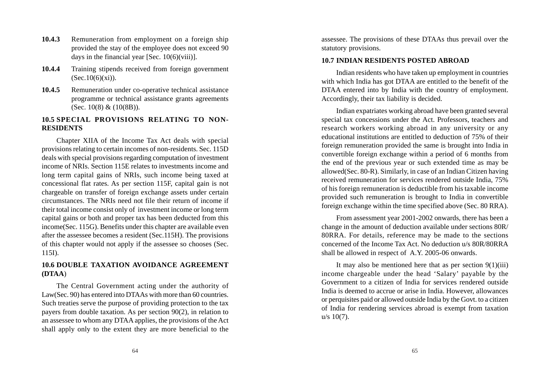- **10.4.3** Remuneration from employment on a foreign ship provided the stay of the employee does not exceed 90 days in the financial year [Sec.  $10(6)(viii)$ ].
- **10.4.4** Training stipends received from foreign government  $(Sec.10(6)(xi)).$
- **10.4.5** Remuneration under co-operative technical assistance programme or technical assistance grants agreements (Sec. 10(8) & (10(8B)).

### **10.5 SPECIAL PROVISIONS RELATING TO NON-RESIDENTS**

Chapter XIIA of the Income Tax Act deals with special provisions relating to certain incomes of non-residents. Sec. 115D deals with special provisions regarding computation of investment income of NRIs. Section 115E relates to investments income and long term capital gains of NRIs, such income being taxed at concessional flat rates. As per section 115F, capital gain is not chargeable on transfer of foreign exchange assets under certain circumstances. The NRIs need not file their return of income if their total income consist only of investment income or long term capital gains or both and proper tax has been deducted from this income(Sec. 115G). Benefits under this chapter are available even after the assessee becomes a resident (Sec.115H). The provisions of this chapter would not apply if the assessee so chooses (Sec. 115I).

# **10.6 DOUBLE TAXATION AVOIDANCE AGREEMENT (DTAA**)

The Central Government acting under the authority of Law(Sec. 90) has entered into DTAAs with more than 60 countries. Such treaties serve the purpose of providing protection to the tax payers from double taxation. As per section 90(2), in relation to an assessee to whom any DTAA applies, the provisions of the Act shall apply only to the extent they are more beneficial to the

assessee. The provisions of these DTAAs thus prevail over the statutory provisions.

#### **10.7 INDIAN RESIDENTS POSTED ABROAD**

Indian residents who have taken up employment in countries with which India has got DTAA are entitled to the benefit of the DTAA entered into by India with the country of employment. Accordingly, their tax liability is decided.

Indian expatriates working abroad have been granted several special tax concessions under the Act. Professors, teachers and research workers working abroad in any university or any educational institutions are entitled to deduction of 75% of their foreign remuneration provided the same is brought into India in convertible foreign exchange within a period of 6 months from the end of the previous year or such extended time as may be allowed(Sec. 80-R). Similarly, in case of an Indian Citizen having received remuneration for services rendered outside India, 75% of his foreign remuneration is deductible from his taxable income provided such remuneration is brought to India in convertible foreign exchange within the time specified above (Sec. 80 RRA).

From assessment year 2001-2002 onwards, there has been a change in the amount of deduction available under sections 80R/ 80RRA. For details, reference may be made to the sections concerned of the Income Tax Act. No deduction u/s 80R/80RRA shall be allowed in respect of A.Y. 2005-06 onwards.

It may also be mentioned here that as per section  $9(1)(iii)$ income chargeable under the head 'Salary' payable by the Government to a citizen of India for services rendered outside India is deemed to accrue or arise in India. However, allowances or perquisites paid or allowed outside India by the Govt. to a citizen of India for rendering services abroad is exempt from taxation  $u/s$  10(7).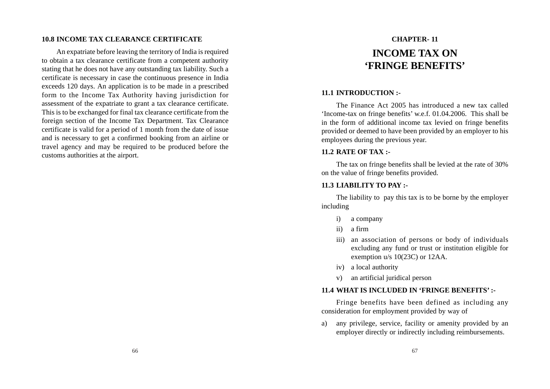#### **10.8 INCOME TAX CLEARANCE CERTIFICATE**

An expatriate before leaving the territory of India is required to obtain a tax clearance certificate from a competent authority stating that he does not have any outstanding tax liability. Such a certificate is necessary in case the continuous presence in India exceeds 120 days. An application is to be made in a prescribed form to the Income Tax Authority having jurisdiction for assessment of the expatriate to grant a tax clearance certificate. This is to be exchanged for final tax clearance certificate from the foreign section of the Income Tax Department. Tax Clearance certificate is valid for a period of 1 month from the date of issue and is necessary to get a confirmed booking from an airline or travel agency and may be required to be produced before the customs authorities at the airport.

# **CHAPTER- 11 INCOME TAX ON 'FRINGE BENEFITS'**

#### **11.1 INTRODUCTION :-**

The Finance Act 2005 has introduced a new tax called 'Income-tax on fringe benefits' w.e.f. 01.04.2006. This shall be in the form of additional income tax levied on fringe benefits provided or deemed to have been provided by an employer to his employees during the previous year.

### **11.2 RATE OF TAX :-**

The tax on fringe benefits shall be levied at the rate of 30% on the value of fringe benefits provided.

### **11.3 LIABILITY TO PAY :-**

The liability to pay this tax is to be borne by the employer including

- i) a company
- ii) a firm
- iii) an association of persons or body of individuals excluding any fund or trust or institution eligible for exemption u/s 10(23C) or 12AA.
- iv) a local authority
- v) an artificial juridical person

#### **11.4 WHAT IS INCLUDED IN 'FRINGE BENEFITS' :-**

Fringe benefits have been defined as including any consideration for employment provided by way of

a) any privilege, service, facility or amenity provided by an employer directly or indirectly including reimbursements.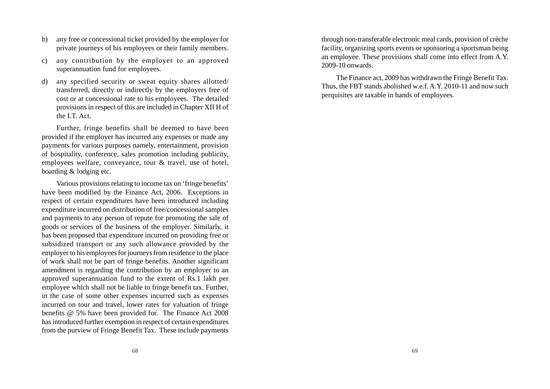- b) any free or concessional ticket provided by the employer for private journeys of his employees or their family members.
- c) any contribution by the employer to an approved superannuation fund for employees.
- d) any specified security or sweat equity shares allotted/ transferred, directly or indirectly by the employers free of cost or at concessional rate to his employees. The detailed provisions in respect of this are included in Chapter XII H of the I.T. Act.

Further, fringe benefits shall be deemed to have been provided if the employer has incurred any expenses or made any payments for various purposes namely, entertainment, provision of hospitality, conference, sales promotion including publicity, employees welfare, conveyance, tour & travel, use of hotel, boarding & lodging etc.

Various provisions relating to income tax on 'fringe benefits' have been modified by the Finance Act, 2006. Exceptions in respect of certain expenditures have been introduced including expenditure incurred on distribution of free/concessional samples and payments to any person of repute for promoting the sale of goods or services of the business of the employer. Similarly, it has been proposed that expenditure incurred on providing free or subsidized transport or any such allowance provided by the employer to his employees for journeys from residence to the place of work shall not be part of fringe benefits. Another significant amendment is regarding the contribution by an employer to an approved superannuation fund to the extent of Rs.1 lakh per employee which shall not be liable to fringe benefit tax. Further, in the case of some other expenses incurred such as expenses incurred on tour and travel, lower rates for valuation of fringe benefits @ 5% have been provided for. The Finance Act 2008 has introduced further exemption in respect of certain expenditures from the purview of Fringe Benefit Tax. These include payments

through non-transferable electronic meal cards, provision of crèche facility, organizing sports events or sponsoring a sportsman being an employee. These provisions shall come into effect from A.Y. 2009-10 onwards.

The Finance act, 2009 has withdrawn the Fringe Benefit Tax. Thus, the FBT stands abolished w.e.f. A.Y. 2010-11 and now such perquisites are taxable in hands of employees.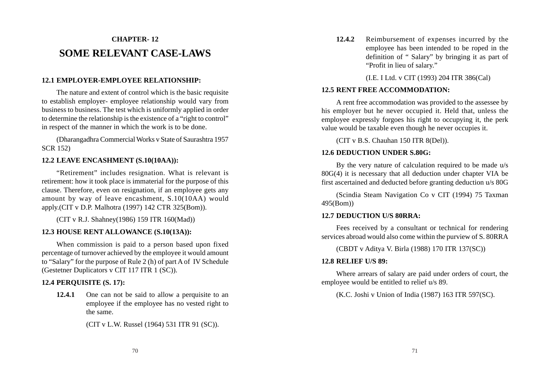# **CHAPTER- 12 SOME RELEVANT CASE-LAWS**

# **12.1 EMPLOYER-EMPLOYEE RELATIONSHIP:**

The nature and extent of control which is the basic requisite to establish employer- employee relationship would vary from business to business. The test which is uniformly applied in order to determine the relationship is the existence of a "right to control" in respect of the manner in which the work is to be done.

(Dharangadhra Commercial Works v State of Saurashtra 1957 SCR 152)

# **12.2 LEAVE ENCASHMENT (S.10(10AA)):**

"Retirement" includes resignation. What is relevant is retirement: how it took place is immaterial for the purpose of this clause. Therefore, even on resignation, if an employee gets any amount by way of leave encashment, S.10(10AA) would apply.(CIT v D.P. Malhotra (1997) 142 CTR 325(Bom)).

(CIT v R.J. Shahney(1986) 159 ITR 160(Mad))

#### **12.3 HOUSE RENT ALLOWANCE (S.10(13A)):**

When commission is paid to a person based upon fixed percentage of turnover achieved by the employee it would amount to "Salary" for the purpose of Rule 2 (h) of part A of IV Schedule (Gestetner Duplicators v CIT 117 ITR 1 (SC)).

# **12.4 PERQUISITE (S. 17):**

**12.4.1** One can not be said to allow a perquisite to an employee if the employee has no vested right to the same.

(CIT v L.W. Russel (1964) 531 ITR 91 (SC)).

**12.4.2** Reimbursement of expenses incurred by the employee has been intended to be roped in the definition of " Salary" by bringing it as part of "Profit in lieu of salary."

(I.E. I Ltd. v CIT (1993) 204 ITR 386(Cal)

#### **12.5 RENT FREE ACCOMMODATION:**

A rent free accommodation was provided to the assessee by his employer but he never occupied it. Held that, unless the employee expressly forgoes his right to occupying it, the perk value would be taxable even though he never occupies it.

(CIT v B.S. Chauhan 150 ITR 8(Del)).

#### **12.6 DEDUCTION UNDER S.80G:**

By the very nature of calculation required to be made u/s 80G(4) it is necessary that all deduction under chapter VIA be first ascertained and deducted before granting deduction u/s 80G

(Scindia Steam Navigation Co v CIT (1994) 75 Taxman 495(Bom))

#### **12.7 DEDUCTION U/S 80RRA:**

Fees received by a consultant or technical for rendering services abroad would also come within the purview of S. 80RRA

(CBDT v Aditya V. Birla (1988) 170 ITR 137(SC))

#### **12.8 RELIEF U/S 89:**

Where arrears of salary are paid under orders of court, the employee would be entitled to relief u/s 89.

(K.C. Joshi v Union of India (1987) 163 ITR 597(SC).